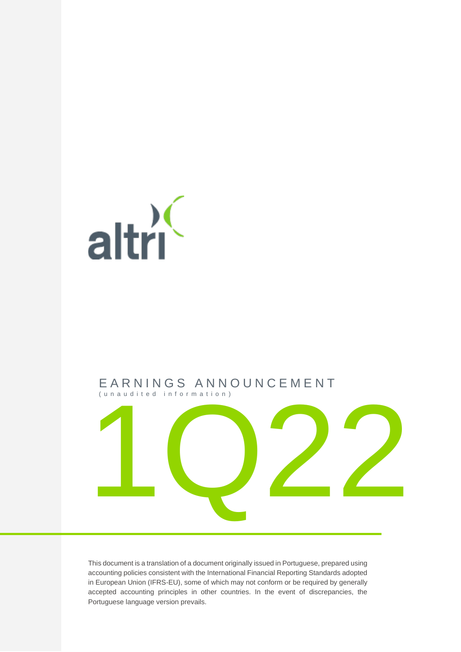

## E A R N I N G S A N N O U N C E M E N T ( u n a u d i t e d i n f o r m a t i o n )



This document is a translation of a document originally issued in Portuguese, prepared using accounting policies consistent with the International Financial Reporting Standards adopted in European Union (IFRS-EU), some of which may not conform or be required by generally accepted accounting principles in other countries. In the event of discrepancies, the Portuguese language version prevails.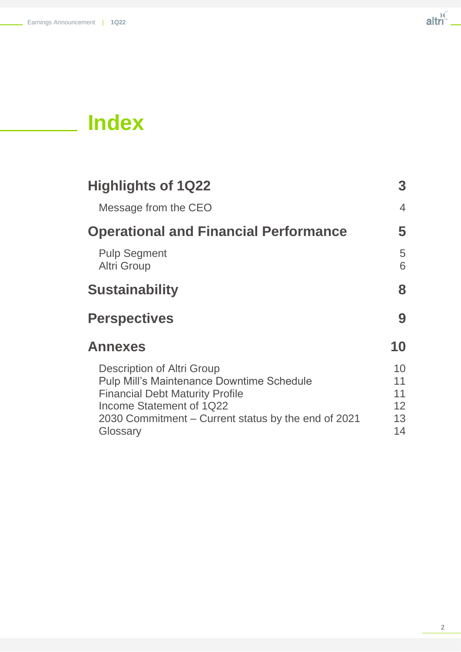

# **Index**

| <b>Highlights of 1Q22</b>                                                                                                                                                                                               | 3                                |
|-------------------------------------------------------------------------------------------------------------------------------------------------------------------------------------------------------------------------|----------------------------------|
| Message from the CEO                                                                                                                                                                                                    | $\overline{4}$                   |
| <b>Operational and Financial Performance</b>                                                                                                                                                                            | 5                                |
| <b>Pulp Segment</b><br><b>Altri Group</b>                                                                                                                                                                               | 5<br>6                           |
| <b>Sustainability</b>                                                                                                                                                                                                   | 8                                |
| <b>Perspectives</b>                                                                                                                                                                                                     | 9                                |
| <b>Annexes</b>                                                                                                                                                                                                          | 10                               |
| Description of Altri Group<br><b>Pulp Mill's Maintenance Downtime Schedule</b><br><b>Financial Debt Maturity Profile</b><br>Income Statement of 1Q22<br>2030 Commitment – Current status by the end of 2021<br>Glossary | 10<br>11<br>11<br>12<br>13<br>14 |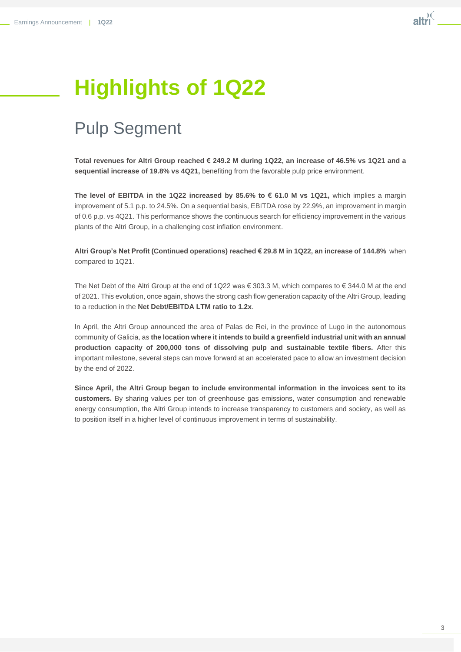# **Highlights of 1Q22**

# Pulp Segment

**Total revenues for Altri Group reached € 249.2 M during 1Q22, an increase of 46.5% vs 1Q21 and a sequential increase of 19.8% vs 4Q21,** benefiting from the favorable pulp price environment.

**The level of EBITDA in the 1Q22 increased by 85.6% to € 61.0 M vs 1Q21,** which implies a margin improvement of 5.1 p.p. to 24.5%. On a sequential basis, EBITDA rose by 22.9%, an improvement in margin of 0.6 p.p. vs 4Q21. This performance shows the continuous search for efficiency improvement in the various plants of the Altri Group, in a challenging cost inflation environment.

**Altri Group's Net Profit (Continued operations) reached € 29.8 M in 1Q22, an increase of 144.8%** when compared to 1Q21.

The Net Debt of the Altri Group at the end of 1Q22 was  $\epsilon$  303.3 M, which compares to  $\epsilon$  344.0 M at the end of 2021. This evolution, once again, shows the strong cash flow generation capacity of the Altri Group, leading to a reduction in the **Net Debt/EBITDA LTM ratio to 1.2x**.

In April, the Altri Group announced the area of Palas de Rei, in the province of Lugo in the autonomous community of Galicia, as **the location where it intends to build a greenfield industrial unit with an annual production capacity of 200,000 tons of dissolving pulp and sustainable textile fibers.** After this important milestone, several steps can move forward at an accelerated pace to allow an investment decision by the end of 2022.

**Since April, the Altri Group began to include environmental information in the invoices sent to its customers.** By sharing values per ton of greenhouse gas emissions, water consumption and renewable energy consumption, the Altri Group intends to increase transparency to customers and society, as well as to position itself in a higher level of continuous improvement in terms of sustainability.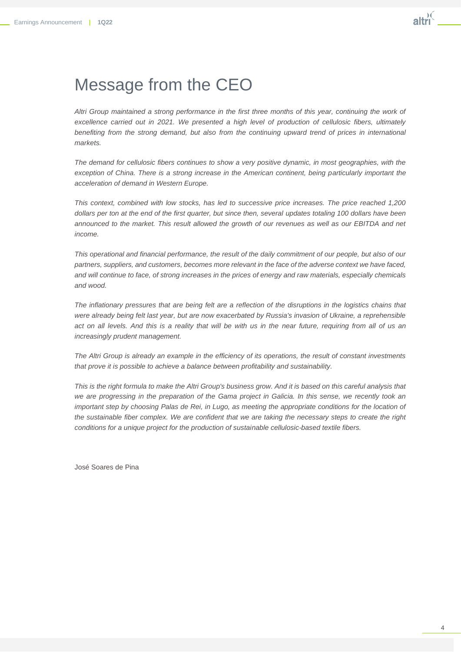## Message from the CEO

*Altri Group maintained a strong performance in the first three months of this year, continuing the work of excellence carried out in 2021. We presented a high level of production of cellulosic fibers, ultimately*  benefiting from the strong demand, but also from the continuing upward trend of prices in international *markets.*

*The demand for cellulosic fibers continues to show a very positive dynamic, in most geographies, with the exception of China. There is a strong increase in the American continent, being particularly important the acceleration of demand in Western Europe.* 

*This context, combined with low stocks, has led to successive price increases. The price reached 1,200 dollars per ton at the end of the first quarter, but since then, several updates totaling 100 dollars have been announced to the market. This result allowed the growth of our revenues as well as our EBITDA and net income.*

*This operational and financial performance, the result of the daily commitment of our people, but also of our partners, suppliers, and customers, becomes more relevant in the face of the adverse context we have faced, and will continue to face, of strong increases in the prices of energy and raw materials, especially chemicals and wood.*

The inflationary pressures that are being felt are a reflection of the disruptions in the logistics chains that were already being felt last year, but are now exacerbated by Russia's invasion of Ukraine, a reprehensible *act on all levels. And this is a reality that will be with us in the near future, requiring from all of us an increasingly prudent management.*

*The Altri Group is already an example in the efficiency of its operations, the result of constant investments that prove it is possible to achieve a balance between profitability and sustainability.* 

This is the right formula to make the Altri Group's business grow. And it is based on this careful analysis that *we are progressing in the preparation of the Gama project in Galicia. In this sense, we recently took an important step by choosing Palas de Rei, in Lugo, as meeting the appropriate conditions for the location of the sustainable fiber complex. We are confident that we are taking the necessary steps to create the right conditions for a unique project for the production of sustainable cellulosic-based textile fibers.*

José Soares de Pina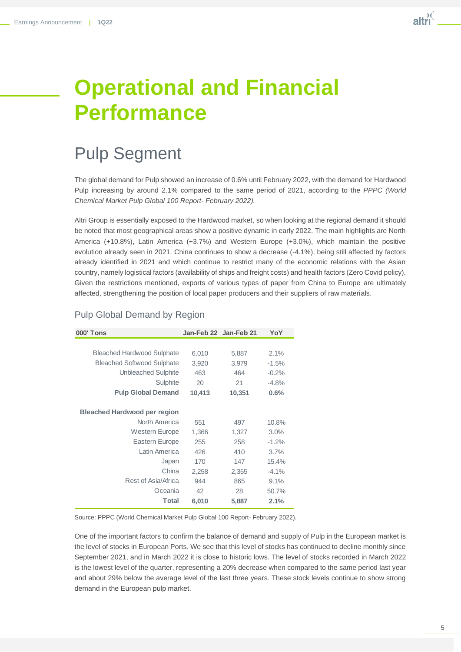

# **Operational and Financial Performance**

# Pulp Segment

The global demand for Pulp showed an increase of 0.6% until February 2022, with the demand for Hardwood Pulp increasing by around 2.1% compared to the same period of 2021, according to the *PPPC (World Chemical Market Pulp Global 100 Report- February 2022).* 

Altri Group is essentially exposed to the Hardwood market, so when looking at the regional demand it should be noted that most geographical areas show a positive dynamic in early 2022. The main highlights are North America (+10.8%), Latin America (+3.7%) and Western Europe (+3.0%), which maintain the positive evolution already seen in 2021. China continues to show a decrease (-4.1%), being still affected by factors already identified in 2021 and which continue to restrict many of the economic relations with the Asian country, namely logistical factors (availability of ships and freight costs) and health factors (Zero Covid policy). Given the restrictions mentioned, exports of various types of paper from China to Europe are ultimately affected, strengthening the position of local paper producers and their suppliers of raw materials.

| <b>000' Tons</b>                    | Jan-Feb 22 Jan-Feb 21 |        | YoY     |
|-------------------------------------|-----------------------|--------|---------|
|                                     |                       |        |         |
| <b>Bleached Hardwood Sulphate</b>   | 6,010                 | 5,887  | 2.1%    |
| <b>Bleached Softwood Sulphate</b>   | 3,920                 | 3,979  | $-1.5%$ |
| Unbleached Sulphite                 | 463                   | 464    | $-0.2%$ |
| Sulphite                            | 20                    | 21     | $-4.8%$ |
| <b>Pulp Global Demand</b>           | 10,413                | 10,351 | 0.6%    |
|                                     |                       |        |         |
| <b>Bleached Hardwood per region</b> |                       |        |         |
| North America                       | 551                   | 497    | 10.8%   |
| <b>Western Europe</b>               | 1,366                 | 1,327  | 3.0%    |
| Eastern Europe                      | 255                   | 258    | $-1.2%$ |
| Latin America                       | 426                   | 410    | 3.7%    |
| Japan                               | 170                   | 147    | 15.4%   |
| China                               | 2,258                 | 2,355  | $-4.1%$ |
| Rest of Asia/Africa                 | 944                   | 865    | 9.1%    |
| Oceania                             | 42                    | 28     | 50.7%   |
| <b>Total</b>                        | 6,010                 | 5,887  | 2.1%    |

## Pulp Global Demand by Region

Source: PPPC (World Chemical Market Pulp Global 100 Report- February 2022).

One of the important factors to confirm the balance of demand and supply of Pulp in the European market is the level of stocks in European Ports. We see that this level of stocks has continued to decline monthly since September 2021, and in March 2022 it is close to historic lows. The level of stocks recorded in March 2022 is the lowest level of the quarter, representing a 20% decrease when compared to the same period last year and about 29% below the average level of the last three years. These stock levels continue to show strong demand in the European pulp market.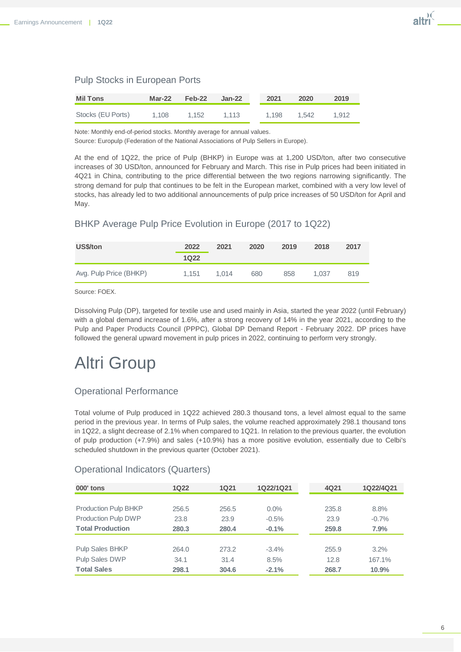## Pulp Stocks in European Ports

| <b>Mil Tons</b>   | $Mar-22$ | Feb-22 | Jan-22 | 2021  | 2020  | 2019  |
|-------------------|----------|--------|--------|-------|-------|-------|
| Stocks (EU Ports) | 1.108    | 1.152  | 1.113  | 1.198 | 1.542 | 1.912 |

Note: Monthly end-of-period stocks. Monthly average for annual values. Source: Europulp (Federation of the National Associations of Pulp Sellers in Europe).

At the end of 1Q22, the price of Pulp (BHKP) in Europe was at 1,200 USD/ton, after two consecutive increases of 30 USD/ton, announced for February and March. This rise in Pulp prices had been initiated in 4Q21 in China, contributing to the price differential between the two regions narrowing significantly. The strong demand for pulp that continues to be felt in the European market, combined with a very low level of stocks, has already led to two additional announcements of pulp price increases of 50 USD/ton for April and May.

## BHKP Average Pulp Price Evolution in Europe (2017 to 1Q22)

| US\$/ton               | 2022  | 2021  | 2020 | 2019 | 2018  | 2017 |
|------------------------|-------|-------|------|------|-------|------|
|                        | 1Q22  |       |      |      |       |      |
| Avg. Pulp Price (BHKP) | 1.151 | 1.014 | 680  | 858  | 1.037 | 819  |

Source: FOEX.

Dissolving Pulp (DP), targeted for textile use and used mainly in Asia, started the year 2022 (until February) with a global demand increase of 1.6%, after a strong recovery of 14% in the year 2021, according to the Pulp and Paper Products Council (PPPC), Global DP Demand Report - February 2022. DP prices have followed the general upward movement in pulp prices in 2022, continuing to perform very strongly.

# Altri Group

## Operational Performance

Total volume of Pulp produced in 1Q22 achieved 280.3 thousand tons, a level almost equal to the same period in the previous year. In terms of Pulp sales, the volume reached approximately 298.1 thousand tons in 1Q22, a slight decrease of 2.1% when compared to 1Q21. In relation to the previous quarter, the evolution of pulp production (+7.9%) and sales (+10.9%) has a more positive evolution, essentially due to Celbi's scheduled shutdown in the previous quarter (October 2021).

## Operational Indicators (Quarters)

| <b>000' tons</b>            | <b>1Q22</b> | <b>1Q21</b> | 1Q22/1Q21 | 4Q21  | 1Q22/4Q21 |
|-----------------------------|-------------|-------------|-----------|-------|-----------|
|                             |             |             |           |       |           |
| <b>Production Pulp BHKP</b> | 256.5       | 256.5       | $0.0\%$   | 235.8 | 8.8%      |
| Production Pulp DWP         | 23.8        | 23.9        | $-0.5%$   | 23.9  | $-0.7%$   |
| <b>Total Production</b>     | 280.3       | 280.4       | $-0.1%$   | 259.8 | 7.9%      |
|                             |             |             |           |       |           |
| <b>Pulp Sales BHKP</b>      | 264.0       | 273.2       | $-3.4\%$  | 255.9 | 3.2%      |
| Pulp Sales DWP              | 34.1        | 31.4        | 8.5%      | 12.8  | 167.1%    |
| <b>Total Sales</b>          | 298.1       | 304.6       | $-2.1%$   | 268.7 | 10.9%     |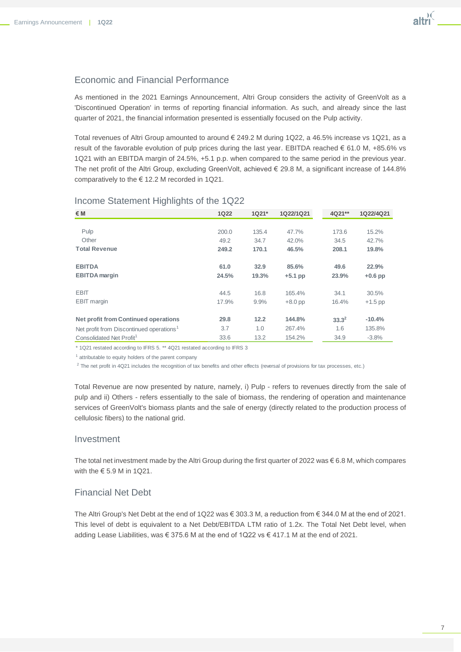### Economic and Financial Performance

As mentioned in the 2021 Earnings Announcement, Altri Group considers the activity of GreenVolt as a 'Discontinued Operation' in terms of reporting financial information. As such, and already since the last quarter of 2021, the financial information presented is essentially focused on the Pulp activity.

Total revenues of Altri Group amounted to around € 249.2 M during 1Q22, a 46.5% increase vs 1Q21, as a result of the favorable evolution of pulp prices during the last year. EBITDA reached € 61.0 M, +85.6% vs 1Q21 with an EBITDA margin of 24.5%, +5.1 p.p. when compared to the same period in the previous year. The net profit of the Altri Group, excluding GreenVolt, achieved € 29.8 M, a significant increase of 144.8% comparatively to the € 12.2 M recorded in 1Q21.

| €M                                                   | <b>1Q22</b> | 1Q21* | 1Q22/1Q21 | 4Q21**     | 1Q22/4Q21 |
|------------------------------------------------------|-------------|-------|-----------|------------|-----------|
|                                                      |             |       |           |            |           |
| Pulp                                                 | 200.0       | 135.4 | 47.7%     | 173.6      | 15.2%     |
| Other                                                | 49.2        | 34.7  | 42.0%     | 34.5       | 42.7%     |
| <b>Total Revenue</b>                                 | 249.2       | 170.1 | 46.5%     | 208.1      | 19.8%     |
| <b>EBITDA</b>                                        | 61.0        | 32.9  | 85.6%     | 49.6       | 22.9%     |
| <b>EBITDA</b> margin                                 | 24.5%       | 19.3% | $+5.1$ pp | 23.9%      | $+0.6$ pp |
| <b>EBIT</b>                                          | 44.5        | 16.8  | 165.4%    | 34.1       | 30.5%     |
| <b>EBIT</b> margin                                   | 17.9%       | 9.9%  | $+8.0$ pp | 16.4%      | $+1.5$ pp |
| Net profit from Continued operations                 | 29.8        | 12.2  | 144.8%    | $33.3^{2}$ | $-10.4%$  |
| Net profit from Discontinued operations <sup>1</sup> | 3.7         | 1.0   | 267.4%    | 1.6        | 135.8%    |
| Consolidated Net Profit <sup>1</sup>                 | 33.6        | 13.2  | 154.2%    | 34.9       | $-3.8%$   |

#### Income Statement Highlights of the 1Q22

\* 1Q21 restated according to IFRS 5. \*\* 4Q21 restated according to IFRS 3

<sup>1</sup> attributable to equity holders of the parent company

 $2$  The net profit in 4Q21 includes the recognition of tax benefits and other effects (reversal of provisions for tax processes, etc.)

Total Revenue are now presented by nature, namely, i) Pulp - refers to revenues directly from the sale of pulp and ii) Others - refers essentially to the sale of biomass, the rendering of operation and maintenance services of GreenVolt's biomass plants and the sale of energy (directly related to the production process of cellulosic fibers) to the national grid.

#### Investment

The total net investment made by the Altri Group during the first quarter of 2022 was € 6.8 M, which compares with the € 5.9 M in 1Q21.

## Financial Net Debt

The Altri Group's Net Debt at the end of 1Q22 was € 303.3 M, a reduction from € 344.0 M at the end of 2021. This level of debt is equivalent to a Net Debt/EBITDA LTM ratio of 1.2x. The Total Net Debt level, when adding Lease Liabilities, was € 375.6 M at the end of 1Q22 vs € 417.1 M at the end of 2021.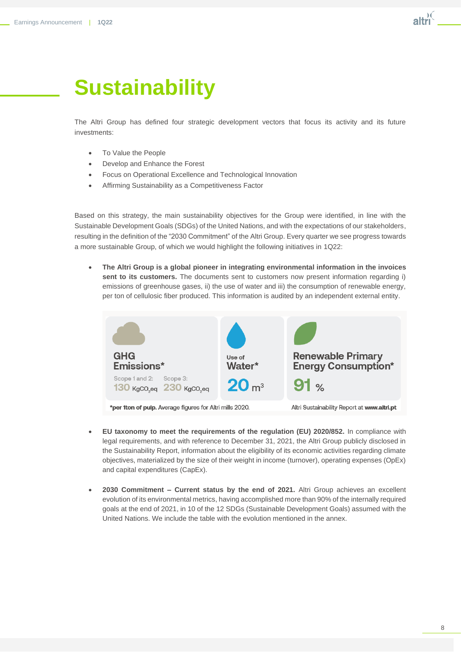# **Sustainability**

The Altri Group has defined four strategic development vectors that focus its activity and its future investments:

- To Value the People
- Develop and Enhance the Forest
- Focus on Operational Excellence and Technological Innovation
- Affirming Sustainability as a Competitiveness Factor

Based on this strategy, the main sustainability objectives for the Group were identified, in line with the Sustainable Development Goals (SDGs) of the United Nations, and with the expectations of our stakeholders, resulting in the definition of the "2030 Commitment" of the Altri Group. Every quarter we see progress towards a more sustainable Group, of which we would highlight the following initiatives in 1Q22:

• **The Altri Group is a global pioneer in integrating environmental information in the invoices**  sent to its customers. The documents sent to customers now present information regarding i) emissions of greenhouse gases, ii) the use of water and iii) the consumption of renewable energy, per ton of cellulosic fiber produced. This information is audited by an independent external entity.



- **EU taxonomy to meet the requirements of the regulation (EU) 2020/852.** In compliance with legal requirements, and with reference to December 31, 2021, the Altri Group publicly disclosed in the Sustainability Report, information about the eligibility of its economic activities regarding climate objectives, materialized by the size of their weight in income (turnover), operating expenses (OpEx) and capital expenditures (CapEx).
- **2030 Commitment – Current status by the end of 2021.** Altri Group achieves an excellent evolution of its environmental metrics, having accomplished more than 90% of the internally required goals at the end of 2021, in 10 of the 12 SDGs (Sustainable Development Goals) assumed with the United Nations. We include the table with the evolution mentioned in the annex.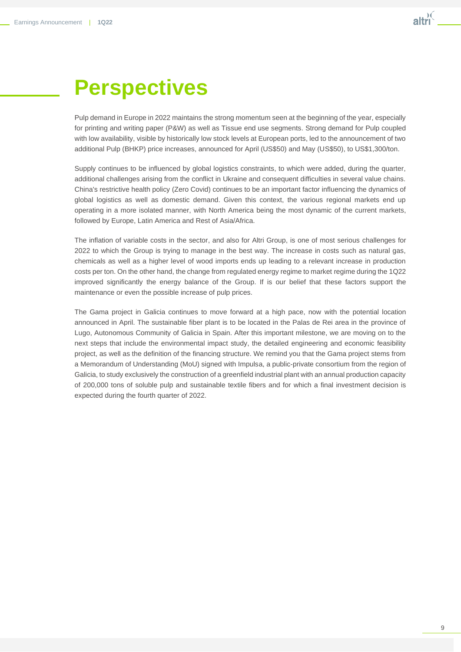# **Perspectives**

Pulp demand in Europe in 2022 maintains the strong momentum seen at the beginning of the year, especially for printing and writing paper (P&W) as well as Tissue end use segments. Strong demand for Pulp coupled with low availability, visible by historically low stock levels at European ports, led to the announcement of two additional Pulp (BHKP) price increases, announced for April (US\$50) and May (US\$50), to US\$1,300/ton.

Supply continues to be influenced by global logistics constraints, to which were added, during the quarter, additional challenges arising from the conflict in Ukraine and consequent difficulties in several value chains. China's restrictive health policy (Zero Covid) continues to be an important factor influencing the dynamics of global logistics as well as domestic demand. Given this context, the various regional markets end up operating in a more isolated manner, with North America being the most dynamic of the current markets, followed by Europe, Latin America and Rest of Asia/Africa.

The inflation of variable costs in the sector, and also for Altri Group, is one of most serious challenges for 2022 to which the Group is trying to manage in the best way. The increase in costs such as natural gas, chemicals as well as a higher level of wood imports ends up leading to a relevant increase in production costs per ton. On the other hand, the change from regulated energy regime to market regime during the 1Q22 improved significantly the energy balance of the Group. If is our belief that these factors support the maintenance or even the possible increase of pulp prices.

The Gama project in Galicia continues to move forward at a high pace, now with the potential location announced in April. The sustainable fiber plant is to be located in the Palas de Rei area in the province of Lugo, Autonomous Community of Galicia in Spain. After this important milestone, we are moving on to the next steps that include the environmental impact study, the detailed engineering and economic feasibility project, as well as the definition of the financing structure. We remind you that the Gama project stems from a Memorandum of Understanding (MoU) signed with Impulsa, a public-private consortium from the region of Galicia, to study exclusively the construction of a greenfield industrial plant with an annual production capacity of 200,000 tons of soluble pulp and sustainable textile fibers and for which a final investment decision is expected during the fourth quarter of 2022.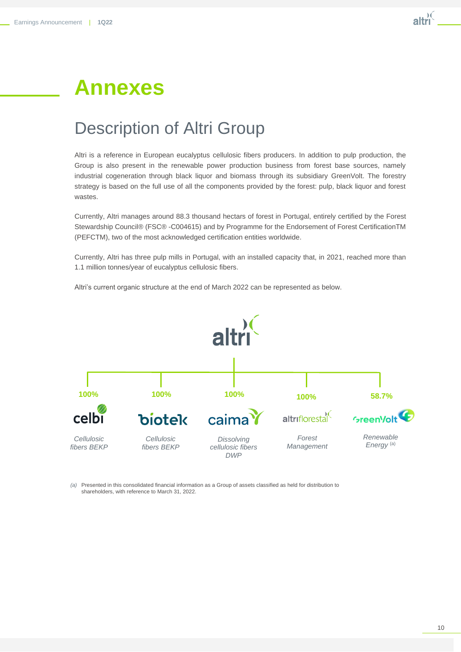# **Annexes**

## Description of Altri Group

Altri is a reference in European eucalyptus cellulosic fibers producers. In addition to pulp production, the Group is also present in the renewable power production business from forest base sources, namely industrial cogeneration through black liquor and biomass through its subsidiary GreenVolt. The forestry strategy is based on the full use of all the components provided by the forest: pulp, black liquor and forest wastes.

Currently, Altri manages around 88.3 thousand hectars of forest in Portugal, entirely certified by the Forest Stewardship Council® (FSC® -C004615) and by Programme for the Endorsement of Forest CertificationTM (PEFCTM), two of the most acknowledged certification entities worldwide.

Currently, Altri has three pulp mills in Portugal, with an installed capacity that, in 2021, reached more than 1.1 million tonnes/year of eucalyptus cellulosic fibers.

Altri's current organic structure at the end of March 2022 can be represented as below.



*(a)* Presented in this consolidated financial information as a Group of assets classified as held for distribution to shareholders, with reference to March 31, 2022.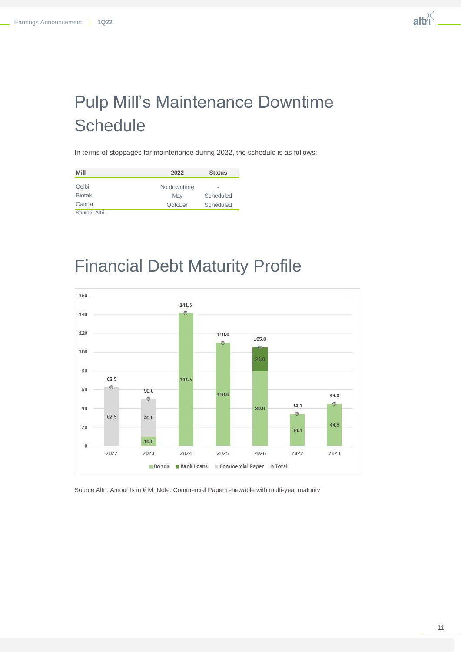# Pulp Mill's Maintenance Downtime **Schedule**

In terms of stoppages for maintenance during 2022, the schedule is as follows:

| Mill           | 2022        | <b>Status</b> |
|----------------|-------------|---------------|
| Celbi          | No downtime | ۰             |
| <b>Biotek</b>  | May         | Scheduled     |
| Caima          | October     | Scheduled     |
| Source: Altri. |             |               |

## Financial Debt Maturity Profile



Source Altri. Amounts in € M. Note: Commercial Paper renewable with multi-year maturity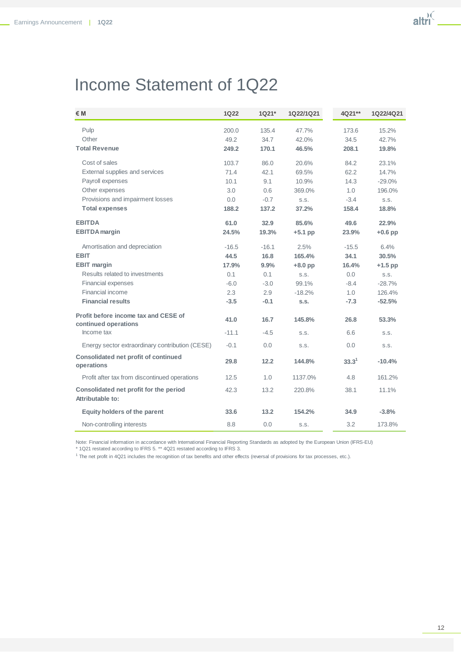## Income Statement of 1Q22

| €M                                                           | <b>1Q22</b> | 1Q21*   | 1Q22/1Q21 | 4Q21**     | 1Q22/4Q21 |
|--------------------------------------------------------------|-------------|---------|-----------|------------|-----------|
| Pulp                                                         | 200.0       | 135.4   | 47.7%     | 173.6      | 15.2%     |
| Other                                                        | 49.2        | 34.7    | 42.0%     | 34.5       | 42.7%     |
| <b>Total Revenue</b>                                         | 249.2       | 170.1   | 46.5%     | 208.1      | 19.8%     |
| Cost of sales                                                | 103.7       | 86.0    | 20.6%     | 84.2       | 23.1%     |
| External supplies and services                               | 71.4        | 42.1    | 69.5%     | 62.2       | 14.7%     |
| Payroll expenses                                             | 10.1        | 9.1     | 10.9%     | 14.3       | $-29.0%$  |
| Other expenses                                               | 3.0         | 0.6     | 369.0%    | 1.0        | 196.0%    |
| Provisions and impairment losses                             | 0.0         | $-0.7$  | S.S.      | $-3.4$     | S.S.      |
| <b>Total expenses</b>                                        | 188.2       | 137.2   | 37.2%     | 158.4      | 18.8%     |
| <b>EBITDA</b>                                                | 61.0        | 32.9    | 85.6%     | 49.6       | 22.9%     |
| <b>EBITDA</b> margin                                         | 24.5%       | 19.3%   | $+5.1$ pp | 23.9%      | $+0.6$ pp |
| Amortisation and depreciation                                | $-16.5$     | $-16.1$ | 2.5%      | $-15.5$    | 6.4%      |
| <b>EBIT</b>                                                  | 44.5        | 16.8    | 165.4%    | 34.1       | 30.5%     |
| <b>EBIT margin</b>                                           | 17.9%       | 9.9%    | $+8.0$ pp | 16.4%      | $+1.5$ pp |
| Results related to investments                               | 0.1         | 0.1     | S.S.      | 0.0        | S.S.      |
| <b>Financial expenses</b>                                    | $-6.0$      | $-3.0$  | 99.1%     | $-8.4$     | $-28.7%$  |
| Financial income                                             | 2.3         | 2.9     | $-18.2%$  | 1.0        | 126.4%    |
| <b>Financial results</b>                                     | $-3.5$      | $-0.1$  | S.S.      | $-7.3$     | $-52.5%$  |
| Profit before income tax and CESE of<br>continued operations | 41.0        | 16.7    | 145.8%    | 26.8       | 53.3%     |
| Income tax                                                   | $-11.1$     | $-4.5$  | S.S.      | 6.6        | S.S.      |
| Energy sector extraordinary contribution (CESE)              | $-0.1$      | 0.0     | S.S.      | 0.0        | S.S.      |
| <b>Consolidated net profit of continued</b><br>operations    | 29.8        | 12.2    | 144.8%    | $33.3^{1}$ | $-10.4%$  |
| Profit after tax from discontinued operations                | 12.5        | 1.0     | 1137.0%   | 4.8        | 161.2%    |
| Consolidated net profit for the period<br>Attributable to:   | 42.3        | 13.2    | 220.8%    | 38.1       | 11.1%     |
| Equity holders of the parent                                 | 33.6        | 13.2    | 154.2%    | 34.9       | $-3.8%$   |
| Non-controlling interests                                    | 8.8         | 0.0     | S.S.      | 3.2        | 173.8%    |

Note: Financial information in accordance with International Financial Reporting Standards as adopted by the European Union (IFRS-EU)

\* 1Q21 restated according to IFRS 5. \*\* 4Q21 restated according to IFRS 3.

<sup>1</sup> The net profit in 4Q21 includes the recognition of tax benefits and other effects (reversal of provisions for tax processes, etc.).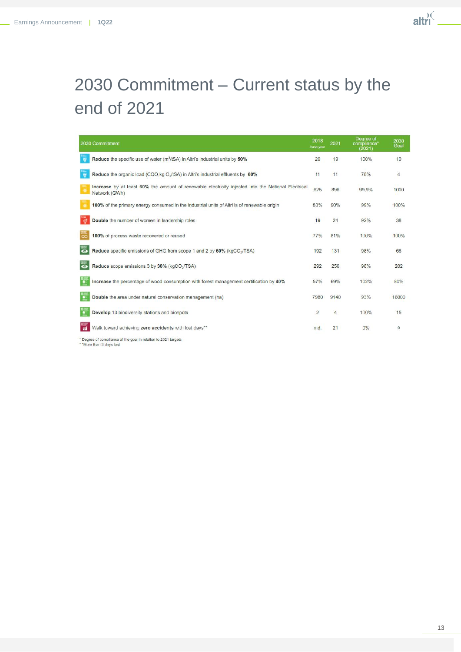

# 2030 Commitment – Current status by the end of 2021

|                | 2030 Commitment                                                                                                     | 2018<br>base year | 2021           | Degree of<br>compliance*<br>(2021) | 2030<br>Goal |
|----------------|---------------------------------------------------------------------------------------------------------------------|-------------------|----------------|------------------------------------|--------------|
| $\overline{a}$ | Reduce the specific use of water $(m^3$ /tSA) in Altri's industrial units by 50%                                    | 20                | 19             | 100%                               | 10           |
|                | Reduce the organic load (CQO,kg O <sub>2</sub> /tSA) in Altri's industrial effluents by 60%                         | 11                | 11             | 78%                                | 4            |
| ×              | Increase by at least 60% the amount of renewable electricity injected into the National Electrical<br>Network (GWh) | 625               | 896            | 99.9%                              | 1000         |
|                | 100% of the primary energy consumed in the industrial units of Altri is of renewable origin                         | 83%               | 90%            | 99%                                | 100%         |
|                | Double the number of women in leadership roles                                                                      | 19                | 24             | 92%                                | 38           |
|                | 100% of process waste recovered or reused                                                                           | 77%               | 81%            | 100%                               | 100%         |
|                | Reduce specific emissions of GHG from scope 1 and 2 by 60% (kgCO2/TSA)                                              | 192               | 131            | 98%                                | 66           |
|                | Reduce scope emissions 3 by 30% (kgCO <sub>2</sub> /TSA)                                                            | 292               | 256            | 98%                                | 202          |
|                | Increase the percentage of wood consumption with forest management certification by 40%                             | 57%               | 69%            | 102%                               | 80%          |
|                | Double the area under natural conservation management (ha)                                                          | 7980              | 9140           | 93%                                | 16000        |
|                | Develop 13 biodiversity stations and biospots                                                                       | $\overline{2}$    | $\overline{4}$ | 100%                               | 15           |
|                | Walk toward achieving zero accidents with lost days**                                                               | n.d.              | 21             | 0%                                 | $\mathbf 0$  |
|                | Dessee of compliance of the seal in relation to 2024 toposts                                                        |                   |                |                                    |              |

\* Degree of compliance of the goal in relation to 2021 targets \* \* More than 3 days lost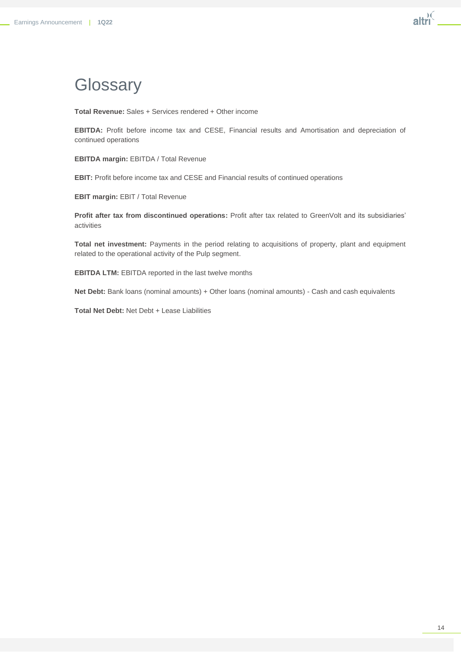## **Glossary**

**Total Revenue:** Sales + Services rendered + Other income

**EBITDA:** Profit before income tax and CESE, Financial results and Amortisation and depreciation of continued operations

**EBITDA margin:** EBITDA / Total Revenue

**EBIT:** Profit before income tax and CESE and Financial results of continued operations

**EBIT margin:** EBIT / Total Revenue

**Profit after tax from discontinued operations:** Profit after tax related to GreenVolt and its subsidiaries' activities

**Total net investment:** Payments in the period relating to acquisitions of property, plant and equipment related to the operational activity of the Pulp segment.

**EBITDA LTM:** EBITDA reported in the last twelve months

**Net Debt:** Bank loans (nominal amounts) + Other loans (nominal amounts) - Cash and cash equivalents

**Total Net Debt:** Net Debt + Lease Liabilities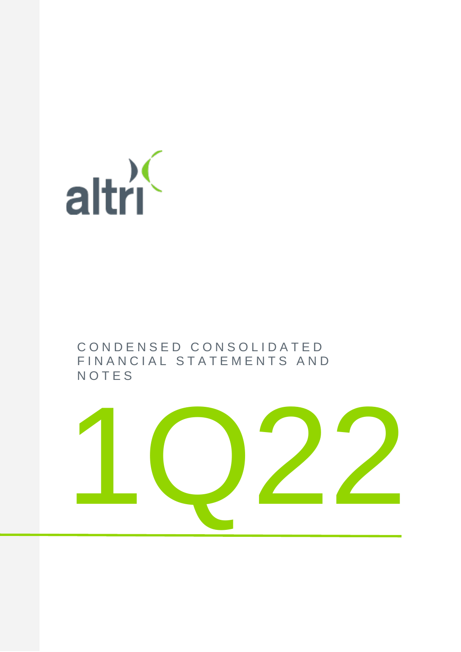

## C O N D E N S E D C O N S O L I D A T E D FIN A N C I A L S T A T E M E N T S A N D **NOTES**

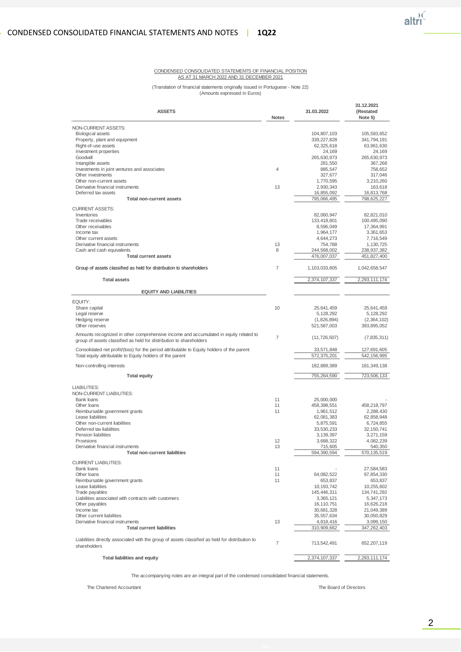

#### CONDENSED CONSOLIDATED STATEMENTS OF FINANCIAL POSITION AS AT 31 MARCH 2022 AND 31 DECEMBER 2021

(Translation of financial statements originally issued in Portuguese - Note 22) (Amounts expressed in Euros)

| <b>ASSETS</b>                                                                                                                                                |                | 31.03.2022                | 31.12.2021<br>(Restated<br>Note 5) |  |
|--------------------------------------------------------------------------------------------------------------------------------------------------------------|----------------|---------------------------|------------------------------------|--|
| NON-CURRENT ASSETS:                                                                                                                                          |                |                           |                                    |  |
| <b>Biological assets</b>                                                                                                                                     |                | 104,807,103               | 105,583,652                        |  |
| Property, plant and equipment                                                                                                                                |                | 339, 227, 828             | 341,794,191                        |  |
| Right-of-use assets<br>Investment properties                                                                                                                 |                | 62,325,618<br>24,169      | 63,961,630<br>24,169               |  |
| Goodwill                                                                                                                                                     |                | 265,630,973               | 265,630,973                        |  |
| Intangible assets                                                                                                                                            |                | 281,550                   | 367,268                            |  |
| Investments in joint ventures and associates                                                                                                                 | $\overline{4}$ | 885,547                   | 758,652                            |  |
| Other investments                                                                                                                                            |                | 327,677                   | 317,046                            |  |
| Other non-current assets<br>Derivative financial instruments                                                                                                 | 13             | 1,770,595<br>2,930,343    | 3,210,260<br>163,618               |  |
| Deferred tax assets                                                                                                                                          |                | 16,855,092                | 16,813,768                         |  |
| Total non-current assets                                                                                                                                     |                | 795,066,495               | 798,625,227                        |  |
| <b>CURRENT ASSETS:</b>                                                                                                                                       |                |                           |                                    |  |
| Inventories                                                                                                                                                  |                | 82,060,947                | 82,821,010                         |  |
| Trade receivables                                                                                                                                            |                | 133,418,801               | 100,495,090                        |  |
| Other receivables                                                                                                                                            |                | 8,596,049                 | 17,364,991                         |  |
| Income tax                                                                                                                                                   |                | 1,964,177                 | 3,361,653                          |  |
| Other current assets<br>Derivative financial instruments                                                                                                     | 13             | 4,644,273<br>754,788      | 7,716,549<br>1,130,725             |  |
| Cash and cash equivalents                                                                                                                                    | 8              | 244,568,002               | 238,937,382                        |  |
| <b>Total current assets</b>                                                                                                                                  |                | 476,007,037               | 451,827,400                        |  |
| Group of assets classified as held for distribution to shareholders                                                                                          | $\overline{7}$ | 1,103,033,805             | 1,042,658,547                      |  |
| <b>Total assets</b>                                                                                                                                          |                | 2,374,107,337             | 2,293,111,174                      |  |
| <b>EQUITY AND LIABILITIES</b>                                                                                                                                |                |                           |                                    |  |
| EQUITY:                                                                                                                                                      |                |                           |                                    |  |
| Share capital                                                                                                                                                | 10             | 25,641,459                | 25,641,459                         |  |
| Legal reserve                                                                                                                                                |                | 5,128,292                 | 5,128,292                          |  |
| Hedging reserve                                                                                                                                              |                | (1,826,894)               | (2,364,102)                        |  |
| Other reserves                                                                                                                                               |                | 521,587,003               | 393,895,052                        |  |
| Amounts recognized in other comprehensive income and accumulated in equity related to<br>group of assets classified as held for distribution to shareholders | $\overline{7}$ | (11, 726, 507)            | (7,835,311)                        |  |
| Consolidated net profit/(loss) for the period attributable to Equity holders of the parent<br>Total equity attributable to Equity holders of the parent      |                | 33,571,848<br>572,375,201 | 127,691,605<br>542, 156, 995       |  |
| Non-controlling interests                                                                                                                                    |                | 182,889,389               | 181,349,138                        |  |
| <b>Total equity</b>                                                                                                                                          |                | 755,264,590               | 723,506,133                        |  |
| LIABILITIES:                                                                                                                                                 |                |                           |                                    |  |
| NON-CURRENT LIABILITIES:                                                                                                                                     |                |                           |                                    |  |
| Bank loans<br>Other loans                                                                                                                                    | 11<br>11       | 25,000,000<br>458,398,551 | 458,218,797                        |  |
| Reimbursable government grants                                                                                                                               | 11             | 1,961,512                 | 2,288,430                          |  |
| Lease liabilities                                                                                                                                            |                | 62,081,383                | 62,858,948                         |  |
| Other non-current liabilities                                                                                                                                |                | 5,875,591                 | 6,724,855                          |  |
| Deferred tax liabilities<br>Pension liabilities                                                                                                              |                | 33,530,233<br>3,139,397   | 32, 150, 741                       |  |
| Provisions                                                                                                                                                   | 12             | 3,688,322                 | 3,271,159<br>4,082,239             |  |
| Derivative financial instruments                                                                                                                             | 13             | 715,605                   | 540,350                            |  |
| <b>Total non-current liabilities</b>                                                                                                                         |                | 594,390,594               | 570, 135, 519                      |  |
| <b>CURRENT LIABILITIES:</b>                                                                                                                                  |                |                           |                                    |  |
| Bank loans                                                                                                                                                   | 11             |                           | 27,584,583                         |  |
| Other loans<br>Reimbursable government grants                                                                                                                | 11             | 64,082,522                | 97,854,330                         |  |
| Lease liabilities                                                                                                                                            | 11             | 653,837<br>10,193,742     | 653,837<br>10,255,602              |  |
| Trade payables                                                                                                                                               |                | 145,446,311               | 134,741,292                        |  |
| Liabilities associated with contracts with customers                                                                                                         |                | 3,365,121                 | 5,347,173                          |  |
| Other payables                                                                                                                                               |                | 16.110.751                | 16,626,218                         |  |
| Income tax                                                                                                                                                   |                | 30,681,328                | 21,049,389                         |  |
| Other current liabilities<br>Derivative financial instruments                                                                                                | 13             | 35,557,634                | 30,050,829                         |  |
| <b>Total current liabilities</b>                                                                                                                             |                | 4,818,416<br>310,909,662  | 3,099,150<br>347,262,403           |  |
|                                                                                                                                                              |                |                           |                                    |  |
| Liabilities directly associated with the group of assets classified as held for distribution to<br>shareholders                                              | $\overline{7}$ | 713,542,491               | 652,207,119                        |  |
| <b>Total liabilities and equity</b>                                                                                                                          |                | 2,374,107,337             | 2,293,111,174                      |  |

The accompanying notes are an integral part of the condensed consolidated financial statements.

The Chartered Accountant **The Chartered Accountant** The Chartered Accountant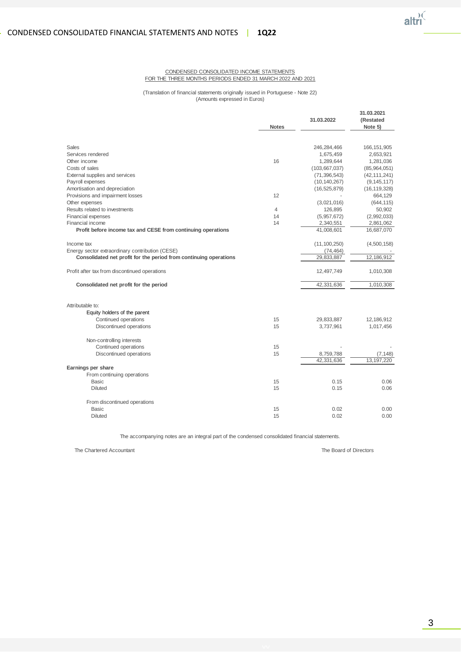#### CONDENSED CONSOLIDATED INCOME STATEMENTS FOR THE THREE MONTHS PERIODS ENDED 31 MARCH 2022 AND 2021

#### (Translation of financial statements originally issued in Portuguese - Note 22) (Amounts expressed in Euros)

|                                                                   | <b>Notes</b> | 31.03.2022      | 31.03.2021<br>(Restated<br>Note 5) |
|-------------------------------------------------------------------|--------------|-----------------|------------------------------------|
|                                                                   |              |                 |                                    |
| Sales                                                             |              | 246,284,466     | 166, 151, 905                      |
| Services rendered                                                 |              | 1,675,459       | 2,653,921                          |
| Other income                                                      | 16           | 1,289,644       | 1,281,036                          |
| Costs of sales                                                    |              | (103, 667, 037) | (85,964,051)                       |
| External supplies and services                                    |              | (71, 396, 543)  | (42, 111, 241)                     |
| Payroll expenses                                                  |              | (10, 140, 267)  | (9, 145, 117)                      |
| Amortisation and depreciation                                     |              | (16, 525, 879)  | (16, 119, 328)                     |
| Provisions and impairment losses                                  | 12           |                 | 664,129                            |
| Other expenses                                                    |              | (3,021,016)     | (644, 115)                         |
| Results related to investments                                    | 4            | 126,895         | 50,902                             |
| Financial expenses                                                | 14           | (5,957,672)     | (2,992,033)                        |
| Financial income                                                  | 14           | 2,340,551       | 2,861,062                          |
| Profit before income tax and CESE from continuing operations      |              | 41,008,601      | 16,687,070                         |
| Income tax                                                        |              | (11, 100, 250)  | (4,500,158)                        |
| Energy sector extraordinary contribution (CESE)                   |              | (74, 464)       |                                    |
| Consolidated net profit for the period from continuing operations |              | 29,833,887      | 12,186,912                         |
| Profit after tax from discontinued operations                     |              | 12,497,749      | 1,010,308                          |
| Consolidated net profit for the period                            |              | 42,331,636      | 1,010,308                          |
| Attributable to:                                                  |              |                 |                                    |
| Equity holders of the parent                                      |              |                 |                                    |
| Continued operations                                              | 15           | 29,833,887      | 12,186,912                         |
| Discontinued operations                                           | 15           | 3,737,961       | 1,017,456                          |
|                                                                   |              |                 |                                    |
| Non-controlling interests                                         |              |                 |                                    |
| Continued operations                                              | 15           |                 |                                    |
| Discontinued operations                                           | 15           | 8,759,788       | (7, 148)                           |
|                                                                   |              | 42,331,636      | 13, 197, 220                       |
| Earnings per share                                                |              |                 |                                    |
| From continuing operations                                        |              |                 |                                    |
| <b>Basic</b>                                                      | 15           | 0.15            | 0.06                               |
| <b>Diluted</b>                                                    | 15           | 0.15            | 0.06                               |
| From discontinued operations                                      |              |                 |                                    |
| <b>Basic</b>                                                      | 15           | 0.02            | 0.00                               |
| Diluted                                                           | 15           | 0.02            | 0.00                               |

The accompanying notes are an integral part of the condensed consolidated financial statements.

The Chartered Accountant The Board of Directors Chartered Accountant The Board of Directors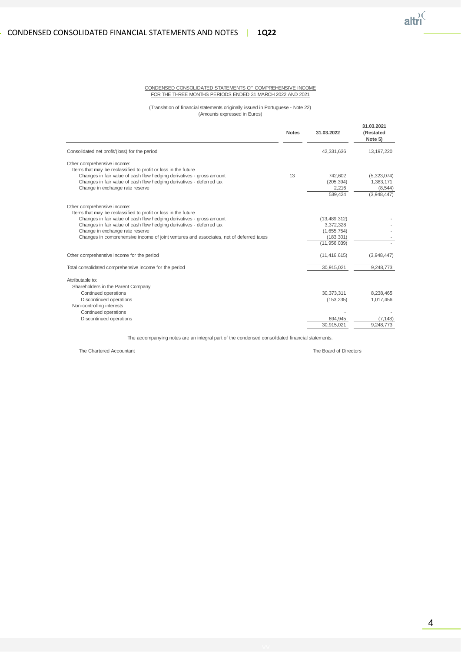#### CONDENSED CONSOLIDATED STATEMENTS OF COMPREHENSIVE INCOME FOR THE THREE MONTHS PERIODS ENDED 31 MARCH 2022 AND 2021

(Translation of financial statements originally issued in Portuguese - Note 22) (Amounts expressed in Euros)

|                                                                                         | <b>Notes</b> | 31.03.2022       | 31.03.2021<br>(Restated<br>Note 5) |
|-----------------------------------------------------------------------------------------|--------------|------------------|------------------------------------|
| Consolidated net profit/(loss) for the period                                           |              | 42,331,636       | 13, 197, 220                       |
| Other comprehensive income:                                                             |              |                  |                                    |
| Items that may be reclassified to profit or loss in the future                          |              |                  |                                    |
| Changes in fair value of cash flow hedging derivatives - gross amount                   | 13           | 742.602          | (5,323,074)                        |
| Changes in fair value of cash flow hedging derivatives - deferred tax                   |              | (205, 394)       | 1,383,171                          |
| Change in exchange rate reserve                                                         |              | 2,216<br>539,424 | (8, 544)<br>(3,948,447)            |
| Other comprehensive income:                                                             |              |                  |                                    |
| Items that may be reclassified to profit or loss in the future                          |              |                  |                                    |
| Changes in fair value of cash flow hedging derivatives - gross amount                   |              | (13, 489, 312)   |                                    |
| Changes in fair value of cash flow hedging derivatives - deferred tax                   |              | 3,372,328        |                                    |
| Change in exchange rate reserve                                                         |              | (1,655,754)      |                                    |
| Changes in comprehensive income of joint ventures and associates, net of deferred taxes |              | (183, 301)       |                                    |
|                                                                                         |              | (11,956,039)     |                                    |
| Other comprehensive income for the period                                               |              | (11, 416, 615)   | (3,948,447)                        |
| Total consolidated comprehensive income for the period                                  |              | 30,915,021       | 9,248,773                          |
| Attributable to:                                                                        |              |                  |                                    |
| Shareholders in the Parent Company                                                      |              |                  |                                    |
| Continued operations                                                                    |              | 30.373.311       | 8,238,465                          |
| Discontinued operations                                                                 |              | (153, 235)       | 1,017,456                          |
| Non-controlling interests                                                               |              |                  |                                    |
| Continued operations                                                                    |              |                  |                                    |
| Discontinued operations                                                                 |              | 694.945          | (7.148)                            |
|                                                                                         |              | 30.915.021       | 9.248.773                          |

The accompanying notes are an integral part of the condensed consolidated financial statements.

The Chartered Accountant The Board of Directors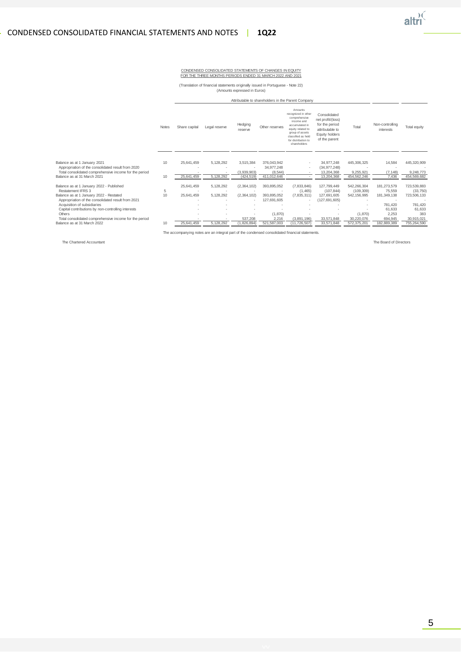#### CONDENSED CONSOLIDATED STATEMENTS OF CHANGES IN EQUITY FOR THE THREE MONTHS PERIODS ENDED 31 MARCH 2022 AND 2021

(Translation of financial statements originally issued in Portuguese - Note 22) (Amounts expressed in Euros)

|                                                                                    |              |               | Attributable to shareholders in the Parent Company |                    |                           |                                                                                                                                                                                      |                                                                                                           |                             |                                    |                         |
|------------------------------------------------------------------------------------|--------------|---------------|----------------------------------------------------|--------------------|---------------------------|--------------------------------------------------------------------------------------------------------------------------------------------------------------------------------------|-----------------------------------------------------------------------------------------------------------|-----------------------------|------------------------------------|-------------------------|
|                                                                                    | <b>Notes</b> | Share capital | Legal reserve                                      | Hedging<br>reserve | Other reserves            | Amounts<br>recognized in other<br>comprehensive<br>income and<br>accumulated in<br>equity related to<br>group of assets<br>classified as held<br>for distribution to<br>shareholders | Consolidated<br>net profit/(loss)<br>for the period<br>attributable to<br>Equity holders<br>of the parent | Total                       | Non-controlling<br>interests       | Total equity            |
| Balance as at 1 January 2021<br>Appropriation of the consolidated result from 2020 | 10           | 25,641,459    | 5,128,292                                          | 3,515,384          | 376.043.942<br>34.977.248 | ٠<br>٠                                                                                                                                                                               | 34,977,248<br>(34, 977, 248)                                                                              | 445,306,325                 | 14,584<br>$\overline{\phantom{a}}$ | 445,320,909             |
| Total consolidated comprehensive income for the period                             |              |               |                                                    | (3,939,903)        | (8, 544)                  |                                                                                                                                                                                      | 13,204,368                                                                                                | 9,255,921                   | (7, 148)                           | 9,248,773               |
| Balance as at 31 March 2021                                                        | 10           | 25,641,459    | 5,128,292                                          | (424, 519)         | 411.012.646               | ٠                                                                                                                                                                                    | 13,204,368                                                                                                | 454,562,246                 | 7.436                              | 454,569,682             |
| Balance as at 1 January 2022 - Published<br>Restatement IFRS 3                     |              | 25,641,459    | 5,128,292                                          | (2,364,102)        | 393,895,052               | (7,833,846)                                                                                                                                                                          | 127,799,449                                                                                               | 542,266,304                 | 181,273,579                        | 723,539,883             |
| Balance as at 1 January 2022 - Restated                                            | 5<br>10      | 25,641,459    | 5,128,292                                          | (2,364,102)        | 393.895.052               | (1, 465)<br>(7,835,311)                                                                                                                                                              | (107, 844)<br>127.691.605                                                                                 | (109, 309)<br>542, 156, 995 | 75,559<br>181,349,138              | (33,750)<br>723,506,133 |
| Appropriation of the consolidated result from 2021                                 |              |               |                                                    |                    | 127,691,605               | ٠                                                                                                                                                                                    | (127, 691, 605)                                                                                           |                             |                                    |                         |
| Acquisition of subsidiaries                                                        |              |               | $\overline{a}$                                     |                    |                           |                                                                                                                                                                                      |                                                                                                           |                             | 781,420                            | 781,420                 |
| Capital contributions by non-controlling interests                                 |              |               |                                                    |                    |                           |                                                                                                                                                                                      |                                                                                                           |                             | 61,633                             | 61,633                  |
| Others<br>Total consolidated comprehensive income for the period                   |              |               |                                                    | 537,208            | (1,870)<br>2,216          | (3,891,196)                                                                                                                                                                          | 33,571,848                                                                                                | (1,870)<br>30.220.076       | 2,253<br>694,945                   | 383<br>30.915.021       |
| Balance as at 31 March 2022                                                        | 10           | 25.641.459    | 5,128,292                                          | (1,826,894)        | 521.587.003               | (11.726.507)                                                                                                                                                                         | 33.571.848                                                                                                | 572.375.201                 | 182.889.389                        | 755,264,590             |

The accompanying notes are an integral part of the condensed consolidated financial statements.

The Chartered Accountant The Board of Directors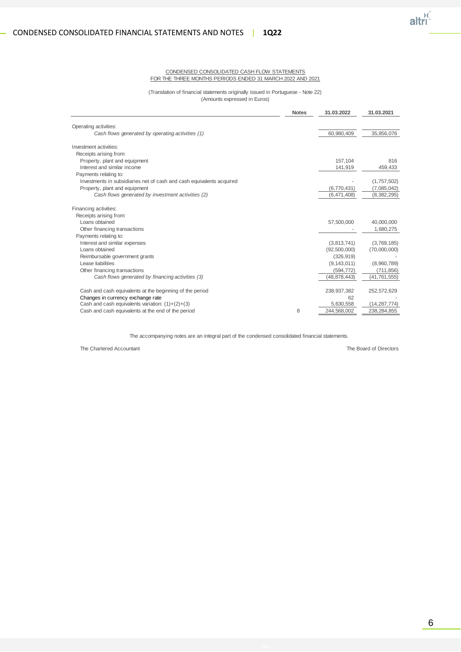#### CONDENSED CONSOLIDATED CASH FLOW STATEMENTS FOR THE THREE MONTHS PERIODS ENDED 31 MARCH 2022 AND 2021

#### (Translation of financial statements originally issued in Portuguese - Note 22) (Amounts expressed in Euros)

|                                                                       | <b>Notes</b> | 31.03.2022    | 31.03.2021     |
|-----------------------------------------------------------------------|--------------|---------------|----------------|
| Operating activities:                                                 |              |               |                |
| Cash flows generated by operating activities (1)                      |              | 60,980,409    | 35,856,076     |
| Investment activities:                                                |              |               |                |
| Receipts arising from:                                                |              |               |                |
| Property, plant and equipment                                         |              | 157.104       | 816            |
| Interest and similar income                                           |              | 141,919       | 459,433        |
| Payments relating to:                                                 |              |               |                |
| Investments in subsidiaries net of cash and cash equivalents acquired |              |               | (1,757,502)    |
| Property, plant and equipment                                         |              | (6,770,431)   | (7,085,042)    |
| Cash flows generated by investment activities (2)                     |              | (6,471,408)   | (8, 382, 295)  |
| Financing activities:                                                 |              |               |                |
| Receipts arising from:                                                |              |               |                |
| Loans obtained                                                        |              | 57,500,000    | 40,000,000     |
| Other financing transactions                                          |              |               | 1,680,275      |
| Payments relating to:                                                 |              |               |                |
| Interest and similar expenses                                         |              | (3,813,741)   | (3,769,185)    |
| Loans obtained                                                        |              | (92,500,000)  | (70,000,000)   |
| Reimbursable government grants                                        |              | (326, 919)    |                |
| Lease liabilities                                                     |              | (9, 143, 011) | (8,960,789)    |
| Other financing transactions                                          |              | (594, 772)    | (711, 856)     |
| Cash flows generated by financing activities (3)                      |              | 48,878,443)   | (41,761,555)   |
| Cash and cash equivalents at the beginning of the period              |              | 238,937,382   | 252,572,629    |
| Changes in currency exchange rate                                     |              | 62            |                |
| Cash and cash equivalents variation: $(1)+(2)+(3)$                    |              | 5,630,558     | (14, 287, 774) |
| Cash and cash equivalents at the end of the period                    | 8            | 244,568,002   | 238,284,855    |

The accompanying notes are an integral part of the condensed consolidated financial statements.

The Chartered Accountant The Board of Directors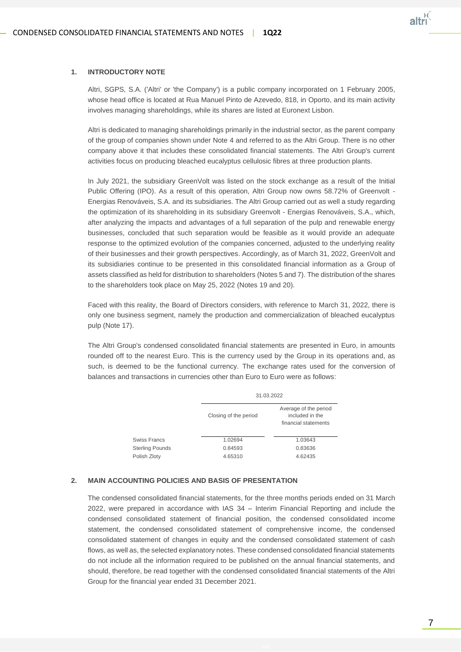

#### **1. INTRODUCTORY NOTE**

Altri, SGPS, S.A. ('Altri' or 'the Company') is a public company incorporated on 1 February 2005, whose head office is located at Rua Manuel Pinto de Azevedo, 818, in Oporto, and its main activity involves managing shareholdings, while its shares are listed at Euronext Lisbon.

Altri is dedicated to managing shareholdings primarily in the industrial sector, as the parent company of the group of companies shown under Note 4 and referred to as the Altri Group. There is no other company above it that includes these consolidated financial statements. The Altri Group's current activities focus on producing bleached eucalyptus cellulosic fibres at three production plants.

In July 2021, the subsidiary GreenVolt was listed on the stock exchange as a result of the Initial Public Offering (IPO). As a result of this operation, Altri Group now owns 58.72% of Greenvolt - Energias Renováveis, S.A. and its subsidiaries. The Altri Group carried out as well a study regarding the optimization of its shareholding in its subsidiary Greenvolt - Energias Renováveis, S.A., which, after analyzing the impacts and advantages of a full separation of the pulp and renewable energy businesses, concluded that such separation would be feasible as it would provide an adequate response to the optimized evolution of the companies concerned, adjusted to the underlying reality of their businesses and their growth perspectives. Accordingly, as of March 31, 2022, GreenVolt and its subsidiaries continue to be presented in this consolidated financial information as a Group of assets classified as held for distribution to shareholders (Notes 5 and 7). The distribution of the shares to the shareholders took place on May 25, 2022 (Notes 19 and 20).

Faced with this reality, the Board of Directors considers, with reference to March 31, 2022, there is only one business segment, namely the production and commercialization of bleached eucalyptus pulp (Note 17).

The Altri Group's condensed consolidated financial statements are presented in Euro, in amounts rounded off to the nearest Euro. This is the currency used by the Group in its operations and, as such, is deemed to be the functional currency. The exchange rates used for the conversion of balances and transactions in currencies other than Euro to Euro were as follows:

|                        |                       | 31.03.2022                                                       |  |  |  |  |
|------------------------|-----------------------|------------------------------------------------------------------|--|--|--|--|
|                        | Closing of the period | Average of the period<br>included in the<br>financial statements |  |  |  |  |
| Swiss Francs           | 1.02694               | 1.03643                                                          |  |  |  |  |
| <b>Sterling Pounds</b> | 0.84593               | 0.83636                                                          |  |  |  |  |
| Polish Zloty           | 4.65310               | 4.62435                                                          |  |  |  |  |

#### **2. MAIN ACCOUNTING POLICIES AND BASIS OF PRESENTATION**

The condensed consolidated financial statements, for the three months periods ended on 31 March 2022, were prepared in accordance with IAS 34 – Interim Financial Reporting and include the condensed consolidated statement of financial position, the condensed consolidated income statement, the condensed consolidated statement of comprehensive income, the condensed consolidated statement of changes in equity and the condensed consolidated statement of cash flows, as well as, the selected explanatory notes. These condensed consolidated financial statements do not include all the information required to be published on the annual financial statements, and should, therefore, be read together with the condensed consolidated financial statements of the Altri Group for the financial year ended 31 December 2021.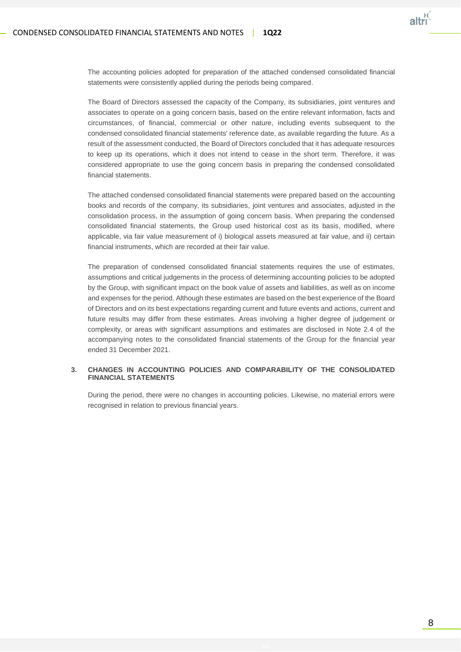

The accounting policies adopted for preparation of the attached condensed consolidated financial statements were consistently applied during the periods being compared.

The Board of Directors assessed the capacity of the Company, its subsidiaries, joint ventures and associates to operate on a going concern basis, based on the entire relevant information, facts and circumstances, of financial, commercial or other nature, including events subsequent to the condensed consolidated financial statements' reference date, as available regarding the future. As a result of the assessment conducted, the Board of Directors concluded that it has adequate resources to keep up its operations, which it does not intend to cease in the short term. Therefore, it was considered appropriate to use the going concern basis in preparing the condensed consolidated financial statements.

The attached condensed consolidated financial statements were prepared based on the accounting books and records of the company, its subsidiaries, joint ventures and associates, adjusted in the consolidation process, in the assumption of going concern basis. When preparing the condensed consolidated financial statements, the Group used historical cost as its basis, modified, where applicable, via fair value measurement of i) biological assets measured at fair value, and ii) certain financial instruments, which are recorded at their fair value.

The preparation of condensed consolidated financial statements requires the use of estimates, assumptions and critical judgements in the process of determining accounting policies to be adopted by the Group, with significant impact on the book value of assets and liabilities, as well as on income and expenses for the period. Although these estimates are based on the best experience of the Board of Directors and on its best expectations regarding current and future events and actions, current and future results may differ from these estimates. Areas involving a higher degree of judgement or complexity, or areas with significant assumptions and estimates are disclosed in Note 2.4 of the accompanying notes to the consolidated financial statements of the Group for the financial year ended 31 December 2021.

#### **3. CHANGES IN ACCOUNTING POLICIES AND COMPARABILITY OF THE CONSOLIDATED FINANCIAL STATEMENTS**

During the period, there were no changes in accounting policies. Likewise, no material errors were recognised in relation to previous financial years.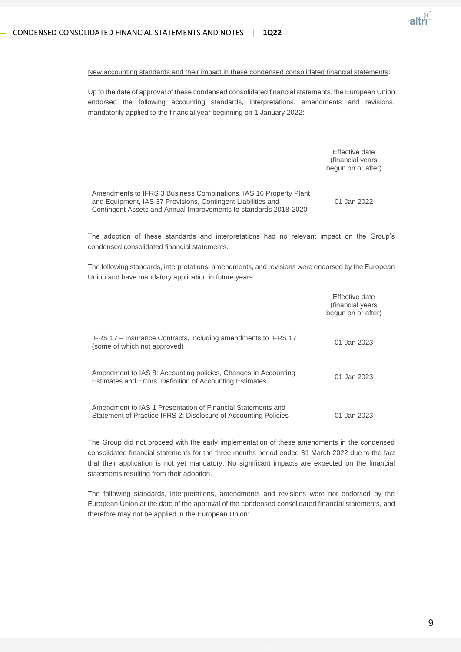

#### New accounting standards and their impact in these condensed consolidated financial statements:

Up to the date of approval of these condensed consolidated financial statements, the European Union endorsed the following accounting standards, interpretations, amendments and revisions, mandatorily applied to the financial year beginning on 1 January 2022:

|                                                                                                                                                                                                       | Effective date<br>(financial years)<br>begun on or after) |
|-------------------------------------------------------------------------------------------------------------------------------------------------------------------------------------------------------|-----------------------------------------------------------|
| Amendments to IFRS 3 Business Combinations, IAS 16 Property Plant<br>and Equipment, IAS 37 Provisions, Contingent Liabilities and<br>Contingent Assets and Annual Improvements to standards 2018-2020 | 01 Jan 2022                                               |

The adoption of these standards and interpretations had no relevant impact on the Group's condensed consolidated financial statements.

The following standards, interpretations, amendments, and revisions were endorsed by the European Union and have mandatory application in future years:

|                                                                                                                                | Effective date<br>(financial years)<br>begun on or after) |
|--------------------------------------------------------------------------------------------------------------------------------|-----------------------------------------------------------|
| IFRS 17 - Insurance Contracts, including amendments to IFRS 17<br>(some of which not approved)                                 | 01 Jan 2023                                               |
| Amendment to IAS 8: Accounting policies, Changes in Accounting<br>Estimates and Errors: Definition of Accounting Estimates     | 01 Jan 2023                                               |
| Amendment to IAS 1 Presentation of Financial Statements and<br>Statement of Practice IFRS 2: Disclosure of Accounting Policies | 01 Jan 2023                                               |

The Group did not proceed with the early implementation of these amendments in the condensed consolidated financial statements for the three months period ended 31 March 2022 due to the fact that their application is not yet mandatory. No significant impacts are expected on the financial statements resulting from their adoption.

The following standards, interpretations, amendments and revisions were not endorsed by the European Union at the date of the approval of the condensed consolidated financial statements, and therefore may not be applied in the European Union: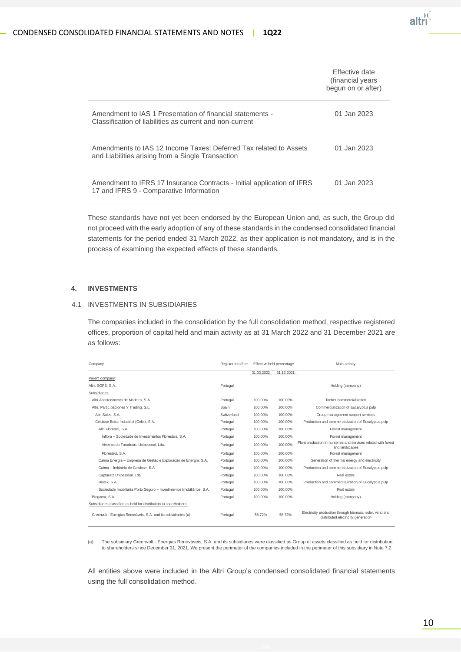

|                                                                                                                        | Effective date<br>(financial years<br>begun on or after) |
|------------------------------------------------------------------------------------------------------------------------|----------------------------------------------------------|
| Amendment to IAS 1 Presentation of financial statements -<br>Classification of liabilities as current and non-current  | 01 Jan 2023                                              |
| Amendments to IAS 12 Income Taxes: Deferred Tax related to Assets<br>and Liabilities arising from a Single Transaction | 01 Jan 2023                                              |
| Amendment to IFRS 17 Insurance Contracts - Initial application of IFRS<br>17 and IFRS 9 - Comparative Information      | 01 Jan 2023                                              |

These standards have not yet been endorsed by the European Union and, as such, the Group did not proceed with the early adoption of any of these standards in the condensed consolidated financial statements for the period ended 31 March 2022, as their application is not mandatory, and is in the process of examining the expected effects of these standards.

#### **4. INVESTMENTS**

#### 4.1 INVESTMENTS IN SUBSIDIARIES

The companies included in the consolidation by the full consolidation method, respective registered offices, proportion of capital held and main activity as at 31 March 2022 and 31 December 2021 are as follows:

| Company                                                               | Registered office | Effective held percentage |            | Main activity                                                                                 |
|-----------------------------------------------------------------------|-------------------|---------------------------|------------|-----------------------------------------------------------------------------------------------|
|                                                                       |                   | 31.03.2022                | 31.12.2021 |                                                                                               |
| Parent company:                                                       |                   |                           |            |                                                                                               |
| Altri, SGPS, S.A.                                                     | Portugal          |                           |            | Holding (company)                                                                             |
| Subsidiaries:                                                         |                   |                           |            |                                                                                               |
| Altri Abastecimento de Madeira, S.A.                                  | Portugal          | 100.00%                   | 100.00%    | Timber commercialization                                                                      |
| Altri, Participaciones Y Trading, S.L.                                | Spain             | 100.00%                   | 100.00%    | Commercialization of Eucalyptus pulp                                                          |
| Altri Sales, S.A.                                                     | Switzerland       | 100.00%                   | 100.00%    | Group management support services                                                             |
| Celulose Beira Industrial (Celbi), S.A.                               | Portugal          | 100.00%                   | 100.00%    | Production and commercialization of Eucalyptus pulp                                           |
| Altri Florestal, S.A.                                                 | Portugal          | 100.00%                   | 100.00%    | Forest management                                                                             |
| Inflora - Sociedade de Investimentos Florestais, S.A.                 | Portugal          | 100.00%                   | 100.00%    | Forest management                                                                             |
| Viveiros do Furadouro Unipessoal, Lda.                                | Portugal          | 100.00%                   | 100.00%    | Plant production in nurseries and services related with forest<br>and landscapes              |
| Florestsul, S.A.                                                      | Portugal          | 100.00%                   | 100.00%    | Forest management                                                                             |
| Caima Energia - Empresa de Gestão e Exploração de Energia, S.A.       | Portugal          | 100.00%                   | 100.00%    | Generation of thermal energy and electricity                                                  |
| Caima - Indústria de Celulose, S.A.                                   | Portugal          | 100.00%                   | 100.00%    | Production and commercialization of Eucalyptus pulp                                           |
| Captaraíz Unipessoal, Lda.                                            | Portugal          | 100.00%                   | 100.00%    | Real estate                                                                                   |
| Biotek, S.A.                                                          | Portugal          | 100.00%                   | 100.00%    | Production and commercialization of Eucalyptus pulp                                           |
| Sociedade Imobiliária Porto Seguro - Investimentos Imobiliários, S.A. | Portugal          | 100.00%                   | 100.00%    | Real estate                                                                                   |
| Biogama, S.A.                                                         | Portugal          | 100.00%                   | 100.00%    | Holding (company)                                                                             |
| Subsidiaries classified as held for distribution to shareholders:     |                   |                           |            |                                                                                               |
| Greenvolt - Energias Renováveis, S.A. and its subsidiaries (a)        | Portugal          | 58.72%                    | 58.72%     | Electricity production through biomass, solar, wind and<br>distributed electricity generation |

(a) The subsidiary Greenvolt - Energias Renováveis, S.A. and its subsidiaries were classified as Group of assets classified as held for distribution to shareholders since December 31, 2021. We present the perimeter of the companies included in the perimeter of this subsidiary in Note 7.2.

All entities above were included in the Altri Group's condensed consolidated financial statements using the full consolidation method.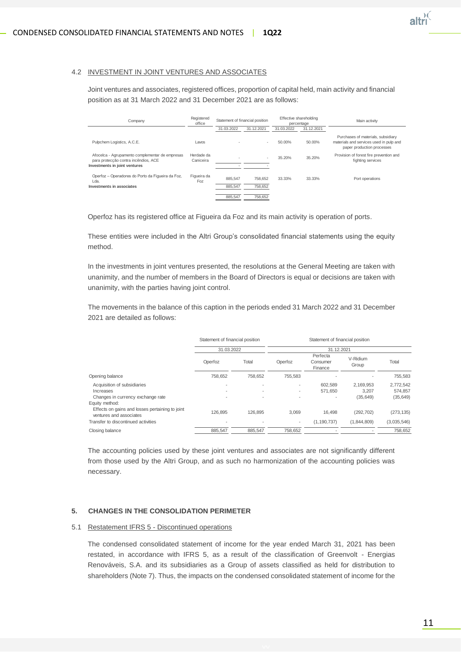#### 4.2 INVESTMENT IN JOINT VENTURES AND ASSOCIATES

Joint ventures and associates, registered offices, proportion of capital held, main activity and financial position as at 31 March 2022 and 31 December 2021 are as follows:

| Company                                                                                                                  | Registered<br>office    | Statement of financial position |                    | Effective shareholding<br>percentage |            | Main activity                                                                                               |
|--------------------------------------------------------------------------------------------------------------------------|-------------------------|---------------------------------|--------------------|--------------------------------------|------------|-------------------------------------------------------------------------------------------------------------|
|                                                                                                                          |                         | 31.03.2022                      | 31.12.2021         | 31.03.2022                           | 31.12.2021 |                                                                                                             |
| Pulpchem Logistics, A.C.E.                                                                                               | Lavos                   |                                 | ×.                 | 50.00%                               | 50.00%     | Purchases of materials, subsidiary<br>materials and services used in pulp and<br>paper production processes |
| Afocelca - Agrupamento complementar de empresas<br>para protecção contra incêndios, ACE<br>Investments in joint ventures | Herdade da<br>Caniceira | ٠                               | ٠                  | 35.20%                               | 35.20%     | Provision of forest fire prevention and<br>fighting services                                                |
| Operfoz - Operadores do Porto da Figueira da Foz,<br>Lda.<br>Investments in associates                                   | Figueira da<br>Foz      | 885.547<br>885.547              | 758.652<br>758,652 | 33.33%                               | 33.33%     | Port operations                                                                                             |
|                                                                                                                          |                         | 885.547                         | 758,652            |                                      |            |                                                                                                             |

Operfoz has its registered office at Figueira da Foz and its main activity is operation of ports.

These entities were included in the Altri Group's consolidated financial statements using the equity method.

In the investments in joint ventures presented, the resolutions at the General Meeting are taken with unanimity, and the number of members in the Board of Directors is equal or decisions are taken with unanimity, with the parties having joint control.

The movements in the balance of this caption in the periods ended 31 March 2022 and 31 December 2021 are detailed as follows:

|                                                                                              | Statement of financial position |                                            | Statement of financial position |                                 |                    |                      |  |
|----------------------------------------------------------------------------------------------|---------------------------------|--------------------------------------------|---------------------------------|---------------------------------|--------------------|----------------------|--|
|                                                                                              | 31.03.2022                      |                                            |                                 |                                 |                    |                      |  |
|                                                                                              | Operfoz                         | Total                                      | Operfoz                         | Perfecta<br>Consumer<br>Finance | V-Ridium<br>Group  | Total                |  |
| Opening balance                                                                              | 758.652                         | 758.652                                    | 755.583                         |                                 |                    | 755,583              |  |
| Acquisition of subsidiaries<br>Increases                                                     | $\overline{\phantom{a}}$        | $\overline{a}$<br>$\overline{\phantom{a}}$ |                                 | 602.589<br>571,650              | 2.169.953<br>3.207 | 2,772,542<br>574,857 |  |
| Changes in currency exchange rate                                                            |                                 | $\overline{a}$                             |                                 |                                 | (35, 649)          | (35, 649)            |  |
| Equity method:<br>Effects on gains and losses pertaining to joint<br>ventures and associates | 126.895                         | 126.895                                    | 3.069                           | 16.498                          | (292, 702)         | (273, 135)           |  |
| Transfer to discontinued activities                                                          |                                 | $\overline{a}$                             | $\overline{\phantom{a}}$        | (1, 190, 737)                   | (1,844,809)        | (3,035,546)          |  |
| Closing balance                                                                              | 885.547                         | 885.547                                    | 758,652                         |                                 |                    | 758,652              |  |

The accounting policies used by these joint ventures and associates are not significantly different from those used by the Altri Group, and as such no harmonization of the accounting policies was necessary.

#### **5. CHANGES IN THE CONSOLIDATION PERIMETER**

#### 5.1 Restatement IFRS 5 - Discontinued operations

The condensed consolidated statement of income for the year ended March 31, 2021 has been restated, in accordance with IFRS 5, as a result of the classification of Greenvolt - Energias Renováveis, S.A. and its subsidiaries as a Group of assets classified as held for distribution to shareholders (Note 7). Thus, the impacts on the condensed consolidated statement of income for the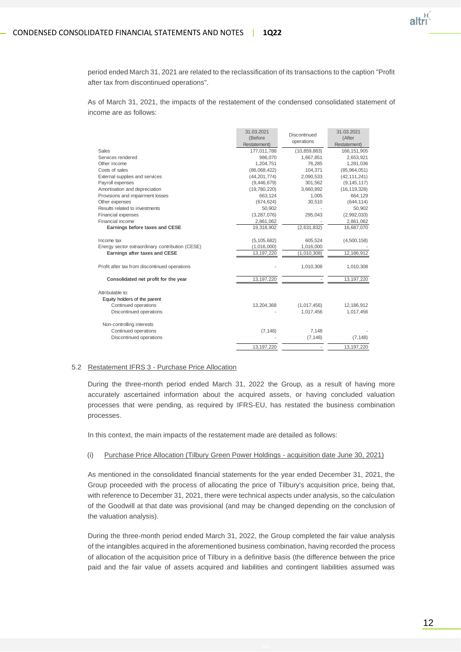

period ended March 31, 2021 are related to the reclassification of its transactions to the caption "Profit after tax from discontinued operations".

As of March 31, 2021, the impacts of the restatement of the condensed consolidated statement of income are as follows:

| (Before<br>(After<br>operations<br>Restatement)<br>Restatement)<br>Sales<br>(10, 859, 883)<br>177,011,788<br>166, 151, 905<br>Services rendered<br>986,070<br>1,667,851<br>2,653,921<br>Other income<br>1,204,751<br>76,285<br>Costs of sales<br>(86,068,422)<br>104,371<br>(85,964,051)<br>(42, 111, 241)<br>External supplies and services<br>(44, 201, 774)<br>2,090,533<br>(9,446,679)<br>(9, 145, 117)<br>Payroll expenses<br>301,562<br>Amortisation and depreciation<br>(19,780,220)<br>3,660,892<br>(16, 119, 328)<br>Provisions and impairment losses<br>663,124<br>1,005<br>Other expenses<br>30,510<br>(644, 114)<br>(674, 624)<br>Results related to investments<br>50,902<br>50,902<br>Financial expenses<br>(3, 287, 076)<br>295,043<br>(2,992,033)<br>Financial income<br>2,861,062<br>Earnings before taxes and CESE<br>19,318,902<br>(2,631,832)<br>(5, 105, 682)<br>605,524<br>(4,500,158)<br>Income tax<br>Energy sector extraordinary contribution (CESE)<br>(1,016,000)<br>1,016,000<br>Earnings after taxes and CESE<br>13, 197, 220<br>(1,010,308)<br>Profit after tax from discontinued operations<br>1,010,308<br>1,010,308<br>13, 197, 220<br>Consolidated net profit for the year<br>Attributable to:<br>Equity holders of the parent<br>Continued operations<br>13,204,368<br>12,186,912<br>(1,017,456)<br>Discontinued operations<br>1,017,456<br>Non-controlling interests<br>Continued operations<br>(7, 148)<br>7,148<br>Discontinued operations<br>(7, 148)<br>(7, 148)<br>13, 197, 220<br>13, 197, 220 | 31.03.2021 | Discontinued | 31.03.2021   |
|------------------------------------------------------------------------------------------------------------------------------------------------------------------------------------------------------------------------------------------------------------------------------------------------------------------------------------------------------------------------------------------------------------------------------------------------------------------------------------------------------------------------------------------------------------------------------------------------------------------------------------------------------------------------------------------------------------------------------------------------------------------------------------------------------------------------------------------------------------------------------------------------------------------------------------------------------------------------------------------------------------------------------------------------------------------------------------------------------------------------------------------------------------------------------------------------------------------------------------------------------------------------------------------------------------------------------------------------------------------------------------------------------------------------------------------------------------------------------------------------------------------------------------------|------------|--------------|--------------|
|                                                                                                                                                                                                                                                                                                                                                                                                                                                                                                                                                                                                                                                                                                                                                                                                                                                                                                                                                                                                                                                                                                                                                                                                                                                                                                                                                                                                                                                                                                                                          |            |              |              |
|                                                                                                                                                                                                                                                                                                                                                                                                                                                                                                                                                                                                                                                                                                                                                                                                                                                                                                                                                                                                                                                                                                                                                                                                                                                                                                                                                                                                                                                                                                                                          |            |              |              |
|                                                                                                                                                                                                                                                                                                                                                                                                                                                                                                                                                                                                                                                                                                                                                                                                                                                                                                                                                                                                                                                                                                                                                                                                                                                                                                                                                                                                                                                                                                                                          |            |              |              |
|                                                                                                                                                                                                                                                                                                                                                                                                                                                                                                                                                                                                                                                                                                                                                                                                                                                                                                                                                                                                                                                                                                                                                                                                                                                                                                                                                                                                                                                                                                                                          |            |              |              |
|                                                                                                                                                                                                                                                                                                                                                                                                                                                                                                                                                                                                                                                                                                                                                                                                                                                                                                                                                                                                                                                                                                                                                                                                                                                                                                                                                                                                                                                                                                                                          |            |              | 1,281,036    |
|                                                                                                                                                                                                                                                                                                                                                                                                                                                                                                                                                                                                                                                                                                                                                                                                                                                                                                                                                                                                                                                                                                                                                                                                                                                                                                                                                                                                                                                                                                                                          |            |              |              |
|                                                                                                                                                                                                                                                                                                                                                                                                                                                                                                                                                                                                                                                                                                                                                                                                                                                                                                                                                                                                                                                                                                                                                                                                                                                                                                                                                                                                                                                                                                                                          |            |              |              |
|                                                                                                                                                                                                                                                                                                                                                                                                                                                                                                                                                                                                                                                                                                                                                                                                                                                                                                                                                                                                                                                                                                                                                                                                                                                                                                                                                                                                                                                                                                                                          |            |              |              |
|                                                                                                                                                                                                                                                                                                                                                                                                                                                                                                                                                                                                                                                                                                                                                                                                                                                                                                                                                                                                                                                                                                                                                                                                                                                                                                                                                                                                                                                                                                                                          |            |              |              |
|                                                                                                                                                                                                                                                                                                                                                                                                                                                                                                                                                                                                                                                                                                                                                                                                                                                                                                                                                                                                                                                                                                                                                                                                                                                                                                                                                                                                                                                                                                                                          |            |              | 664,129      |
|                                                                                                                                                                                                                                                                                                                                                                                                                                                                                                                                                                                                                                                                                                                                                                                                                                                                                                                                                                                                                                                                                                                                                                                                                                                                                                                                                                                                                                                                                                                                          |            |              |              |
|                                                                                                                                                                                                                                                                                                                                                                                                                                                                                                                                                                                                                                                                                                                                                                                                                                                                                                                                                                                                                                                                                                                                                                                                                                                                                                                                                                                                                                                                                                                                          |            |              |              |
|                                                                                                                                                                                                                                                                                                                                                                                                                                                                                                                                                                                                                                                                                                                                                                                                                                                                                                                                                                                                                                                                                                                                                                                                                                                                                                                                                                                                                                                                                                                                          |            |              |              |
|                                                                                                                                                                                                                                                                                                                                                                                                                                                                                                                                                                                                                                                                                                                                                                                                                                                                                                                                                                                                                                                                                                                                                                                                                                                                                                                                                                                                                                                                                                                                          |            |              | 2,861,062    |
|                                                                                                                                                                                                                                                                                                                                                                                                                                                                                                                                                                                                                                                                                                                                                                                                                                                                                                                                                                                                                                                                                                                                                                                                                                                                                                                                                                                                                                                                                                                                          |            |              | 16,687,070   |
|                                                                                                                                                                                                                                                                                                                                                                                                                                                                                                                                                                                                                                                                                                                                                                                                                                                                                                                                                                                                                                                                                                                                                                                                                                                                                                                                                                                                                                                                                                                                          |            |              |              |
|                                                                                                                                                                                                                                                                                                                                                                                                                                                                                                                                                                                                                                                                                                                                                                                                                                                                                                                                                                                                                                                                                                                                                                                                                                                                                                                                                                                                                                                                                                                                          |            |              |              |
|                                                                                                                                                                                                                                                                                                                                                                                                                                                                                                                                                                                                                                                                                                                                                                                                                                                                                                                                                                                                                                                                                                                                                                                                                                                                                                                                                                                                                                                                                                                                          |            |              | 12,186,912   |
|                                                                                                                                                                                                                                                                                                                                                                                                                                                                                                                                                                                                                                                                                                                                                                                                                                                                                                                                                                                                                                                                                                                                                                                                                                                                                                                                                                                                                                                                                                                                          |            |              |              |
|                                                                                                                                                                                                                                                                                                                                                                                                                                                                                                                                                                                                                                                                                                                                                                                                                                                                                                                                                                                                                                                                                                                                                                                                                                                                                                                                                                                                                                                                                                                                          |            |              | 13, 197, 220 |
|                                                                                                                                                                                                                                                                                                                                                                                                                                                                                                                                                                                                                                                                                                                                                                                                                                                                                                                                                                                                                                                                                                                                                                                                                                                                                                                                                                                                                                                                                                                                          |            |              |              |
|                                                                                                                                                                                                                                                                                                                                                                                                                                                                                                                                                                                                                                                                                                                                                                                                                                                                                                                                                                                                                                                                                                                                                                                                                                                                                                                                                                                                                                                                                                                                          |            |              |              |
|                                                                                                                                                                                                                                                                                                                                                                                                                                                                                                                                                                                                                                                                                                                                                                                                                                                                                                                                                                                                                                                                                                                                                                                                                                                                                                                                                                                                                                                                                                                                          |            |              | 1,017,456    |
|                                                                                                                                                                                                                                                                                                                                                                                                                                                                                                                                                                                                                                                                                                                                                                                                                                                                                                                                                                                                                                                                                                                                                                                                                                                                                                                                                                                                                                                                                                                                          |            |              |              |
|                                                                                                                                                                                                                                                                                                                                                                                                                                                                                                                                                                                                                                                                                                                                                                                                                                                                                                                                                                                                                                                                                                                                                                                                                                                                                                                                                                                                                                                                                                                                          |            |              |              |
|                                                                                                                                                                                                                                                                                                                                                                                                                                                                                                                                                                                                                                                                                                                                                                                                                                                                                                                                                                                                                                                                                                                                                                                                                                                                                                                                                                                                                                                                                                                                          |            |              |              |
|                                                                                                                                                                                                                                                                                                                                                                                                                                                                                                                                                                                                                                                                                                                                                                                                                                                                                                                                                                                                                                                                                                                                                                                                                                                                                                                                                                                                                                                                                                                                          |            |              |              |

#### 5.2 Restatement IFRS 3 - Purchase Price Allocation

During the three-month period ended March 31, 2022 the Group, as a result of having more accurately ascertained information about the acquired assets, or having concluded valuation processes that were pending, as required by IFRS-EU, has restated the business combination processes.

In this context, the main impacts of the restatement made are detailed as follows:

(i) Purchase Price Allocation (Tilbury Green Power Holdings - acquisition date June 30, 2021)

As mentioned in the consolidated financial statements for the year ended December 31, 2021, the Group proceeded with the process of allocating the price of Tilbury's acquisition price, being that, with reference to December 31, 2021, there were technical aspects under analysis, so the calculation of the Goodwill at that date was provisional (and may be changed depending on the conclusion of the valuation analysis).

During the three-month period ended March 31, 2022, the Group completed the fair value analysis of the intangibles acquired in the aforementioned business combination, having recorded the process of allocation of the acquisition price of Tilbury in a definitive basis (the difference between the price paid and the fair value of assets acquired and liabilities and contingent liabilities assumed was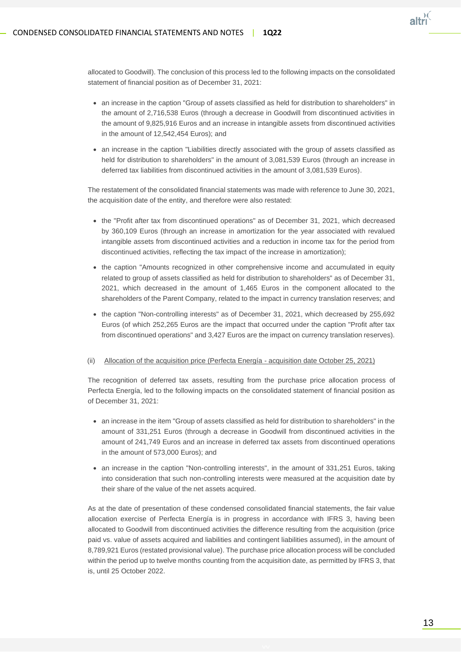

allocated to Goodwill). The conclusion of this process led to the following impacts on the consolidated statement of financial position as of December 31, 2021:

- an increase in the caption "Group of assets classified as held for distribution to shareholders" in the amount of 2,716,538 Euros (through a decrease in Goodwill from discontinued activities in the amount of 9,825,916 Euros and an increase in intangible assets from discontinued activities in the amount of 12,542,454 Euros); and
- an increase in the caption "Liabilities directly associated with the group of assets classified as held for distribution to shareholders" in the amount of 3,081,539 Euros (through an increase in deferred tax liabilities from discontinued activities in the amount of 3,081,539 Euros).

The restatement of the consolidated financial statements was made with reference to June 30, 2021, the acquisition date of the entity, and therefore were also restated:

- the "Profit after tax from discontinued operations" as of December 31, 2021, which decreased by 360,109 Euros (through an increase in amortization for the year associated with revalued intangible assets from discontinued activities and a reduction in income tax for the period from discontinued activities, reflecting the tax impact of the increase in amortization);
- the caption "Amounts recognized in other comprehensive income and accumulated in equity related to group of assets classified as held for distribution to shareholders" as of December 31, 2021, which decreased in the amount of 1,465 Euros in the component allocated to the shareholders of the Parent Company, related to the impact in currency translation reserves; and
- the caption "Non-controlling interests" as of December 31, 2021, which decreased by 255,692 Euros (of which 252,265 Euros are the impact that occurred under the caption "Profit after tax from discontinued operations" and 3,427 Euros are the impact on currency translation reserves).

#### (ii) Allocation of the acquisition price (Perfecta Energía - acquisition date October 25, 2021)

The recognition of deferred tax assets, resulting from the purchase price allocation process of Perfecta Energía, led to the following impacts on the consolidated statement of financial position as of December 31, 2021:

- an increase in the item "Group of assets classified as held for distribution to shareholders" in the amount of 331,251 Euros (through a decrease in Goodwill from discontinued activities in the amount of 241,749 Euros and an increase in deferred tax assets from discontinued operations in the amount of 573,000 Euros); and
- an increase in the caption "Non-controlling interests", in the amount of 331,251 Euros, taking into consideration that such non-controlling interests were measured at the acquisition date by their share of the value of the net assets acquired.

As at the date of presentation of these condensed consolidated financial statements, the fair value allocation exercise of Perfecta Energía is in progress in accordance with IFRS 3, having been allocated to Goodwill from discontinued activities the difference resulting from the acquisition (price paid vs. value of assets acquired and liabilities and contingent liabilities assumed), in the amount of 8,789,921 Euros (restated provisional value). The purchase price allocation process will be concluded within the period up to twelve months counting from the acquisition date, as permitted by IFRS 3, that is, until 25 October 2022.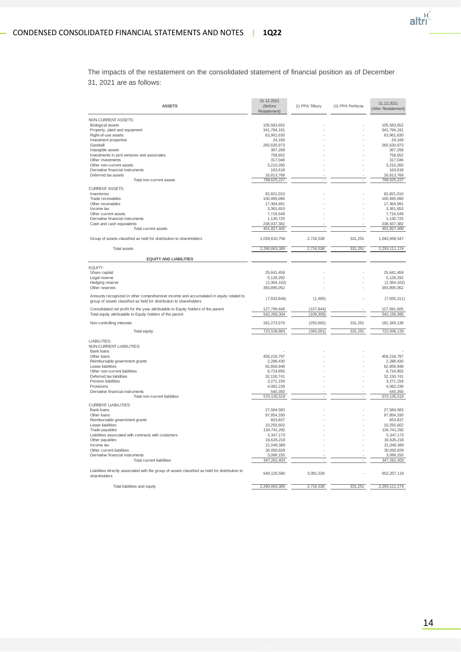

The impacts of the restatement on the consolidated statement of financial position as of December 31, 2021 are as follows:

| <b>ASSETS</b>                                                                                                                                                | 31.12.2021<br>(Before<br>Restatement) | (i) PPA Tilbury          | (ii) PPA Perfecta        | 31.12.2021<br>(After Restatement) |
|--------------------------------------------------------------------------------------------------------------------------------------------------------------|---------------------------------------|--------------------------|--------------------------|-----------------------------------|
| NON-CURRENT ASSETS:                                                                                                                                          |                                       |                          |                          |                                   |
| <b>Biological assets</b>                                                                                                                                     | 105,583,652                           |                          |                          | 105,583,652                       |
| Property, plant and equipment                                                                                                                                | 341,794,191                           |                          |                          | 341,794,191                       |
| Right-of-use assets                                                                                                                                          | 63,961,630                            |                          |                          | 63,961,630                        |
| Investment properties                                                                                                                                        | 24,169                                |                          |                          | 24,169                            |
| Goodwill                                                                                                                                                     | 265,630,973                           |                          |                          | 265,630,973                       |
| Intangible assets                                                                                                                                            | 367,268                               |                          |                          | 367,268                           |
| Investments in joint ventures and associates                                                                                                                 | 758,652                               |                          |                          | 758,652                           |
| Other investments                                                                                                                                            | 317,046                               |                          |                          | 317,046                           |
| Other non-current assets<br>Derivative financial instruments                                                                                                 | 3,210,260                             |                          |                          | 3,210,260                         |
|                                                                                                                                                              | 163,618                               |                          |                          | 163,618                           |
| Deferred tax assets<br>Total non-current assets                                                                                                              | 16,813,768<br>798,625,227             |                          |                          | 16,813,768<br>798,625,227         |
|                                                                                                                                                              |                                       |                          |                          |                                   |
| <b>CURRENT ASSETS:</b>                                                                                                                                       |                                       |                          |                          |                                   |
| Inventories                                                                                                                                                  | 82,821,010                            |                          |                          | 82,821,010                        |
| Trade receivables                                                                                                                                            | 100,495,090                           |                          |                          | 100,495,090                       |
| Other receivables                                                                                                                                            | 17,364,991                            |                          |                          | 17,364,991                        |
| Income tax                                                                                                                                                   | 3,361,653                             |                          |                          | 3,361,653                         |
| Other current assets                                                                                                                                         | 7,716,549                             |                          |                          | 7,716,549                         |
| Derivative financial instruments                                                                                                                             | 1,130,725                             |                          |                          | 1,130,725                         |
| Cash and cash equivalents                                                                                                                                    | 238,937,382                           |                          |                          | 238, 937, 382                     |
| Total current assets                                                                                                                                         | 451,827,400                           |                          |                          | 451,827,400                       |
| Group of assets classified as held for distribution to shareholders                                                                                          | 1,039,610,758                         | 2,716,538                | 331,251                  | 1,042,658,547                     |
| <b>Total assets</b>                                                                                                                                          | 2,290,063,385                         | 2,716,538                | 331,251                  | 2,293,111,174                     |
|                                                                                                                                                              |                                       |                          |                          |                                   |
| <b>EQUITY AND LIABILITIES</b>                                                                                                                                |                                       |                          |                          |                                   |
| EQUITY:                                                                                                                                                      |                                       |                          |                          |                                   |
| Share capital                                                                                                                                                | 25,641,459                            |                          |                          | 25,641,459                        |
| Legal reserve                                                                                                                                                | 5,128,292                             |                          |                          | 5,128,292                         |
| Hedging reserve                                                                                                                                              | (2,364,102)                           |                          |                          | (2,364,102)                       |
| Other reserves                                                                                                                                               | 393,895,052                           |                          |                          | 393,895,052                       |
| Amounts recognized in other comprehensive income and accumulated in equity related to<br>group of assets classified as held for distribution to shareholders | (7,833,846)                           | (1,465)                  |                          | (7,835,311)                       |
| Consolidated net profit for the year attributable to Equity holders of the parent<br>Total equity attributable to Equity holders of the parent               | 127,799,449<br>542,266,304            | (107, 844)<br>(109, 309) | $\overline{\phantom{a}}$ | 127,691,605<br>542, 156, 995      |
| Non-controlling interests                                                                                                                                    | 181,273,579                           | (255, 692)               | 331.251                  | 181,349,138                       |
| Total equity                                                                                                                                                 | 723,539,883                           | (365,001)                | 331,251                  | 723,506,133                       |
| LIABILITIES:<br>NON-CURRENT LIABILITIES:                                                                                                                     |                                       |                          |                          |                                   |
| Bank loans                                                                                                                                                   |                                       |                          |                          |                                   |
| Other loans<br>Reimbursable government grants                                                                                                                | 458,218,797<br>2,288,430              |                          |                          | 458,218,797<br>2,288,430          |
| Lease liabilities                                                                                                                                            | 62,858,948                            |                          |                          | 62,858,948                        |
| Other non-current liabilities                                                                                                                                | 6,724,855                             |                          |                          | 6,724,855                         |
| Deferred tax liabilities                                                                                                                                     | 32,150,741                            |                          |                          | 32, 150, 741                      |
| Pension liabilities                                                                                                                                          | 3,271,159                             |                          |                          | 3,271,159                         |
| Provisions                                                                                                                                                   | 4,082,239                             |                          |                          | 4,082,239                         |
| Derivative financial instruments                                                                                                                             | 540,350                               |                          |                          | 540,350                           |
| Total non-current liabilities                                                                                                                                | 570, 135, 519                         |                          |                          | 570, 135, 519                     |
|                                                                                                                                                              |                                       |                          |                          |                                   |
| <b>CURRENT LIABILITIES:</b>                                                                                                                                  |                                       |                          |                          |                                   |
| Bank loans                                                                                                                                                   | 27,584,583                            |                          |                          | 27,584,583                        |
| Other loans                                                                                                                                                  | 97,854,330                            |                          |                          | 97,854,330                        |
| Reimbursable government grants<br>Lease liabilities                                                                                                          | 653,837<br>10,255,602                 |                          |                          | 653,837<br>10,255,602             |
|                                                                                                                                                              |                                       |                          |                          |                                   |
| Trade payables<br>Liabilities associated with contracts with customers                                                                                       | 134,741,292<br>5,347,173              |                          |                          | 134,741,292<br>5,347,173          |
| Other payables                                                                                                                                               | 16,626,218                            |                          |                          | 16,626,218                        |
| Income tax                                                                                                                                                   | 21,049,389                            |                          |                          | 21,049,389                        |
|                                                                                                                                                              |                                       |                          |                          |                                   |
| Other current liabilities<br>Derivative financial instruments                                                                                                | 30,050,829                            |                          |                          | 30,050,829                        |
| Total current liabilities                                                                                                                                    | 3,099,150<br>347,262,403              |                          |                          | 3,099,150<br>347,262,403          |
|                                                                                                                                                              |                                       |                          |                          |                                   |
| Liabilities directly associated with the group of assets classified as held for distribution to<br>shareholders                                              | 649,125,580                           | 3,081,539                |                          | 652,207,119                       |
| Total liabilities and equity                                                                                                                                 | 2,290,063,385                         | 2,716,538                | 331,251                  | 2,293,111,174                     |
|                                                                                                                                                              |                                       |                          |                          |                                   |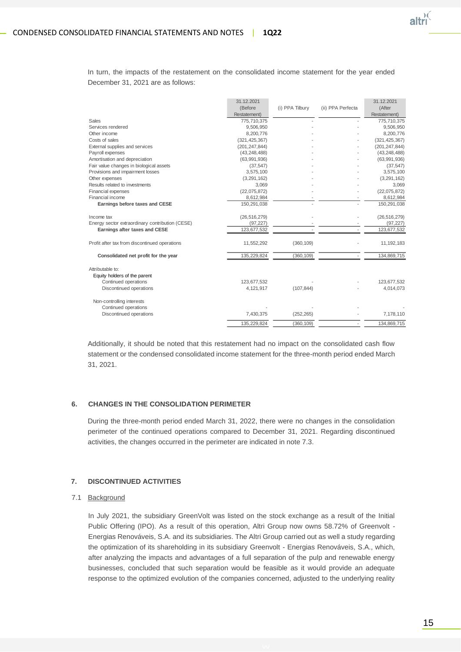

In turn, the impacts of the restatement on the consolidated income statement for the year ended December 31, 2021 are as follows:

|                                                 | 31.12.2021      |                 |                   | 31.12.2021      |
|-------------------------------------------------|-----------------|-----------------|-------------------|-----------------|
|                                                 | (Before         | (i) PPA Tilbury | (ii) PPA Perfecta | (After          |
|                                                 | Restatement)    |                 |                   | Restatement)    |
| Sales                                           | 775,710,375     |                 |                   | 775,710,375     |
| Services rendered                               | 9,506,950       |                 |                   | 9,506,950       |
| Other income                                    | 8,200,776       |                 |                   | 8,200,776       |
| Costs of sales                                  | (321, 425, 367) |                 |                   | (321, 425, 367) |
| External supplies and services                  | (201, 247, 844) |                 |                   | (201, 247, 844) |
| Payroll expenses                                | (43, 248, 488)  |                 |                   | (43, 248, 488)  |
| Amortisation and depreciation                   | (63,991,936)    |                 |                   | (63,991,936)    |
| Fair value changes in biological assets         | (37, 547)       |                 |                   | (37, 547)       |
| Provisions and impairment losses                | 3,575,100       |                 |                   | 3,575,100       |
| Other expenses                                  | (3,291,162)     |                 |                   | (3, 291, 162)   |
| Results related to investments                  | 3,069           |                 |                   | 3,069           |
| Financial expenses                              | (22,075,872)    |                 |                   | (22,075,872)    |
| Financial income                                | 8,612,984       |                 |                   | 8,612,984       |
| Earnings before taxes and CESE                  | 150,291,038     |                 |                   | 150,291,038     |
| Income tax                                      | (26, 516, 279)  |                 |                   | (26, 516, 279)  |
| Energy sector extraordinary contribution (CESE) | (97, 227)       |                 |                   | (97, 227)       |
| Earnings after taxes and CESE                   | 123,677,532     |                 |                   | 123,677,532     |
| Profit after tax from discontinued operations   | 11,552,292      | (360, 109)      |                   | 11, 192, 183    |
| Consolidated net profit for the year            | 135,229,824     | (360, 109)      | ä,                | 134,869,715     |
| Attributable to:                                |                 |                 |                   |                 |
| Equity holders of the parent                    |                 |                 |                   |                 |
| Continued operations                            | 123,677,532     |                 |                   | 123,677,532     |
| Discontinued operations                         | 4,121,917       | (107, 844)      |                   | 4,014,073       |
| Non-controlling interests                       |                 |                 |                   |                 |
| Continued operations                            |                 |                 |                   |                 |
| Discontinued operations                         | 7,430,375       | (252, 265)      |                   | 7,178,110       |
|                                                 | 135.229.824     | (360, 109)      |                   | 134,869,715     |

Additionally, it should be noted that this restatement had no impact on the consolidated cash flow statement or the condensed consolidated income statement for the three-month period ended March 31, 2021.

#### **6. CHANGES IN THE CONSOLIDATION PERIMETER**

During the three-month period ended March 31, 2022, there were no changes in the consolidation perimeter of the continued operations compared to December 31, 2021. Regarding discontinued activities, the changes occurred in the perimeter are indicated in note 7.3.

#### **7. DISCONTINUED ACTIVITIES**

#### 7.1 Background

In July 2021, the subsidiary GreenVolt was listed on the stock exchange as a result of the Initial Public Offering (IPO). As a result of this operation, Altri Group now owns 58.72% of Greenvolt -Energias Renováveis, S.A. and its subsidiaries. The Altri Group carried out as well a study regarding the optimization of its shareholding in its subsidiary Greenvolt - Energias Renováveis, S.A., which, after analyzing the impacts and advantages of a full separation of the pulp and renewable energy businesses, concluded that such separation would be feasible as it would provide an adequate response to the optimized evolution of the companies concerned, adjusted to the underlying reality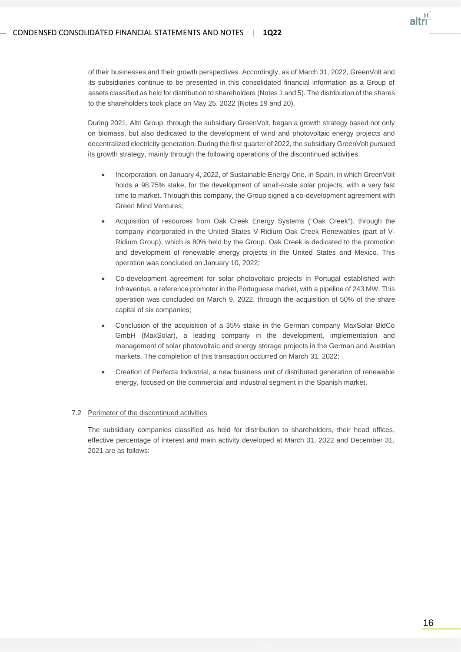

of their businesses and their growth perspectives. Accordingly, as of March 31, 2022, GreenVolt and its subsidiaries continue to be presented in this consolidated financial information as a Group of assets classified as held for distribution to shareholders (Notes 1 and 5). The distribution of the shares to the shareholders took place on May 25, 2022 (Notes 19 and 20).

During 2021, Altri Group, through the subsidiary GreenVolt, began a growth strategy based not only on biomass, but also dedicated to the development of wind and photovoltaic energy projects and decentralized electricity generation. During the first quarter of 2022, the subsidiary GreenVolt pursued its growth strategy, mainly through the following operations of the discontinued activities:

- Incorporation, on January 4, 2022, of Sustainable Energy One, in Spain, in which GreenVolt holds a 98.75% stake, for the development of small-scale solar projects, with a very fast time to market. Through this company, the Group signed a co-development agreement with Green Mind Ventures;
- Acquisition of resources from Oak Creek Energy Systems ("Oak Creek"), through the company incorporated in the United States V-Ridium Oak Creek Renewables (part of V-Ridium Group), which is 80% held by the Group. Oak Creek is dedicated to the promotion and development of renewable energy projects in the United States and Mexico. This operation was concluded on January 10, 2022;
- Co-development agreement for solar photovoltaic projects in Portugal established with Infraventus, a reference promoter in the Portuguese market, with a pipeline of 243 MW. This operation was concluded on March 9, 2022, through the acquisition of 50% of the share capital of six companies;
- Conclusion of the acquisition of a 35% stake in the German company MaxSolar BidCo GmbH (MaxSolar), a leading company in the development, implementation and management of solar photovoltaic and energy storage projects in the German and Austrian markets. The completion of this transaction occurred on March 31, 2022;
- Creation of Perfecta Industrial, a new business unit of distributed generation of renewable energy, focused on the commercial and industrial segment in the Spanish market.

#### 7.2 Perimeter of the discontinued activities

The subsidiary companies classified as held for distribution to shareholders, their head offices, effective percentage of interest and main activity developed at March 31, 2022 and December 31, 2021 are as follows: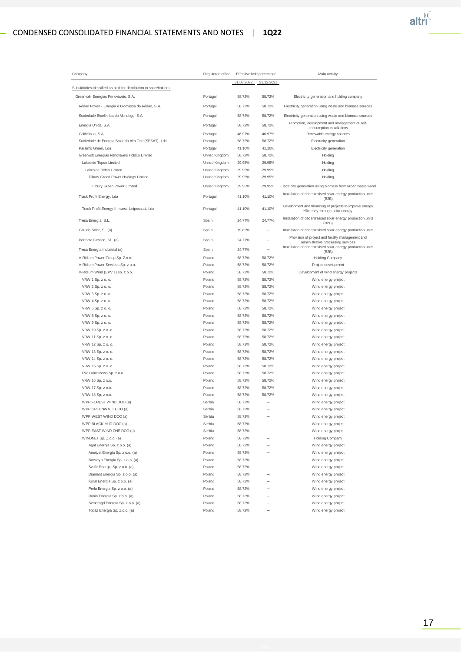## CONDENSED CONSOLIDATED FINANCIAL STATEMENTS AND NOTES | **1Q22**



| Company                                                           | Registered office |            | Effective held percentage | Main activity                                                                               |
|-------------------------------------------------------------------|-------------------|------------|---------------------------|---------------------------------------------------------------------------------------------|
|                                                                   |                   | 31.03.2022 | 31.12.2021                |                                                                                             |
| Subsidiaries classified as held for distribution to shareholders: |                   |            |                           |                                                                                             |
| Greenvolt- Energias Renováveis, S.A.                              | Portugal          | 58.72%     | 58.72%                    | Electricity generation and holding company                                                  |
| Ródão Power - Energia e Biomassa do Ródão, S.A.                   | Portugal          | 58.72%     | 58.72%                    | Electricity generation using waste and biomass sources                                      |
| Sociedade Bioelétrica do Mondego, S.A.                            | Portugal          | 58.72%     | 58.72%                    | Electricity generation using waste and biomass sources                                      |
| Energia Unida, S.A.                                               | Portugal          | 58.72%     | 58.72%                    | Promotion, development and management of self-                                              |
|                                                                   |                   |            |                           | consumption installations                                                                   |
| Golditábua, S.A.                                                  | Portugal          | 46.97%     | 46.97%                    | Renewable energy sources                                                                    |
| Sociedade de Energia Solar do Alto Tejo (SESAT), Lda.             | Portugal          | 58.72%     | 58.72%                    | Electricity generation                                                                      |
| Paraimo Green, Lda                                                | Portugal          | 41.10%     | 41.10%                    | Electricity generation                                                                      |
| Greenvolt Energias Renovaveis Holdco Limited                      | United Kingdom    | 58.72%     | 58.72%                    | Holding                                                                                     |
| Lakeside Topco Limited                                            | United Kingdom    | 29.95%     | 29.95%                    | Holding                                                                                     |
| Lakeside Bidco Limited                                            | United Kingdom    | 29.95%     | 29.95%                    | Holding                                                                                     |
| Tilbury Green Power Holdings Limited                              | United Kingdom    | 29.95%     | 29.95%                    | Holding                                                                                     |
| Tilbury Green Power Limited                                       | United Kingdom    | 29.95%     | 29.95%                    | Electricity generation using biomass from urban waste wood                                  |
| Track Profit Energy, Lda                                          | Portugal          | 41.10%     | 41.10%                    | Installation of decentralised solar energy production units<br>(B2B)                        |
| Track Profit Energy II Invest, Unipessoal, Lda                    | Portugal          | 41.10%     | 41.10%                    | Development and financing of projects to improve energy<br>efficiency through solar energy. |
| Tresa Energía, S.L.                                               | Spain             | 24.77%     | 24.77%                    | Installation of decentralised solar energy production units<br>(B2C)                        |
| Garuda Solar, SL (a)                                              | Spain             | 19.82%     |                           | Installation of decentralised solar energy production units                                 |
| Perfecta Gestion, SL (a)                                          | Spain             | 24.77%     |                           | Provision of project and facility management and<br>administrative processing services      |
| Tresa Energía Industrial (a)                                      | Spain             | 24.77%     |                           | Installation of decentralised solar energy production units<br>(B2B)                        |
| V-Ridium Power Group Sp. Z.o.o.                                   | Poland            | 58.72%     | 58.72%                    | <b>Holding Company</b>                                                                      |
| V-Ridium Power Services Sp. z o.o.                                | Poland            | 58.72%     | 58.72%                    | Project development                                                                         |
| V-Ridium Wind (EPV 1) sp. z o.o.                                  | Poland            | 58.72%     | 58.72%                    | Development of wind energy projects                                                         |
| VRW 1 Sp. z o. o.                                                 | Poland            | 58.72%     | 58.72%                    | Wind energy project                                                                         |
| VRW 2 Sp. z o. o.                                                 | Poland            | 58.72%     | 58.72%                    | Wind energy project                                                                         |
| VRW 3 Sp. z o. o.                                                 | Poland            | 58.72%     | 58.72%                    | Wind energy project                                                                         |
| VRW 4 Sp. z o. o.                                                 | Poland            | 58.72%     | 58.72%                    | Wind energy project                                                                         |
| VRW 5 Sp. z o. o.                                                 | Poland            | 58.72%     | 58.72%                    | Wind energy project                                                                         |
| VRW 8 Sp. z o. o.                                                 | Poland            | 58.72%     | 58.72%                    | Wind energy project                                                                         |
| VRW 9 Sp. z o. o.                                                 | Poland            | 58.72%     | 58.72%                    | Wind energy project                                                                         |
| VRW 10 Sp. z o. o.                                                | Poland            | 58.72%     | 58.72%                    | Wind energy project                                                                         |
| VRW 11 Sp. z o. o.                                                | Poland            | 58.72%     | 58.72%                    | Wind energy project                                                                         |
| VRW 12 Sp. z o. o.                                                | Poland            | 58.72%     | 58.72%                    | Wind energy project                                                                         |
| VRW 13 Sp. z o. o.                                                | Poland            | 58.72%     | 58.72%                    | Wind energy project                                                                         |
| VRW 14 Sp. z o. o.                                                | Poland            | 58.72%     | 58.72%                    | Wind energy project                                                                         |
| VRW 15 Sp. z o. o.                                                | Poland            | 58.72%     | 58.72%                    | Wind energy project                                                                         |
| FW Lubieszewo Sp. z o.o.                                          | Poland            | 58.72%     | 58.72%                    | Wind energy project                                                                         |
| VRW 16 Sp. z o.o.                                                 | Poland            | 58.72%     | 58.72%                    | Wind energy project                                                                         |
| VRW 17 Sp. z o.o.                                                 | Poland            | 58.72%     | 58.72%                    | Wind energy project                                                                         |
| VRW 18 Sp. z o.o.                                                 | Poland            | 58.72%     | 58.72%                    | Wind energy project                                                                         |
| WPP FOREST WIND DOO (a)                                           | Serbia            | 58.72%     |                           | Wind energy project                                                                         |
| WPP GREENWATT DOO (a)                                             | Serbia            | 58.72%     |                           | Wind energy project                                                                         |
|                                                                   | Serbia            |            |                           |                                                                                             |
| WPP WEST WIND DOO (a)                                             | Serbia            | 58.72%     |                           | Wind energy project                                                                         |
| WPP BLACK MUD DOO (a)<br>WPP EAST WIND ONE DOO (a)                | Serbia            | 58.72%     |                           | Wind energy project                                                                         |
|                                                                   |                   | 58.72%     |                           | Wind energy project                                                                         |
| WINDNET Sp. Z o.o. (a)                                            | Poland            | 58.72%     |                           | <b>Holding Company</b>                                                                      |
| Agat Energia Sp. z o.o. (a)                                       | Poland            | 58.72%     |                           | Wind energy project                                                                         |
| Ametyst Energia Sp. z o.o. (a)                                    | Poland            | 58.72%     |                           | Wind energy project                                                                         |
| Bursztyn Energia Sp. z o.o. (a)                                   | Poland            | 58.72%     |                           | Wind energy project                                                                         |
| Szafir Energia Sp. z o.o. (a)                                     | Poland            | 58.72%     |                           | Wind energy project                                                                         |
| Diament Energia Sp. z o.o. (a)                                    | Poland            | 58.72%     |                           | Wind energy project                                                                         |
| Koral Energia Sp. z o.o. (a)                                      | Poland            | 58.72%     |                           | Wind energy project                                                                         |
| Perła Energia Sp. z o.o. (a)                                      | Poland            | 58.72%     |                           | Wind energy project                                                                         |
| Rubin Energia Sp. z o.o. (a)                                      | Poland            | 58.72%     |                           | Wind energy project                                                                         |
| Szmaragd Energia Sp. z o.o. (a)                                   | Poland            | 58.72%     |                           | Wind energy project                                                                         |
| Topaz Energia Sp. Z o.o. (a)                                      | Poland            | 58.72%     |                           | Wind energy project                                                                         |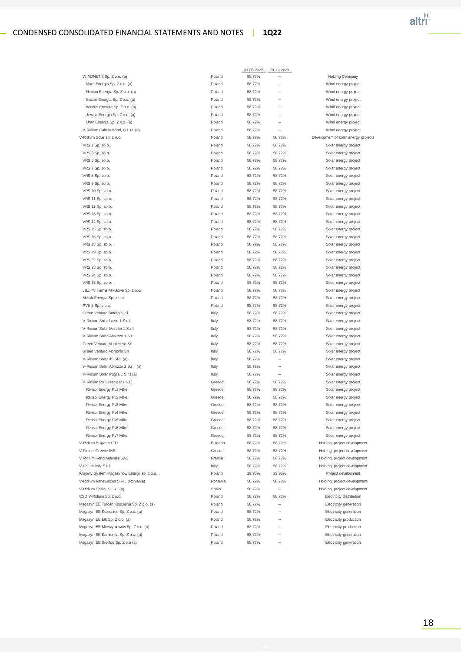## CONDENSED CONSOLIDATED FINANCIAL STATEMENTS AND NOTES | **1Q22**



|                                                                  |                    | 31.03.2022       | 31.12.2021               |                                                              |
|------------------------------------------------------------------|--------------------|------------------|--------------------------|--------------------------------------------------------------|
| WINDNET 2 Sp. Z o.o. (a)                                         | Poland             | 58.72%           |                          | Holding Company                                              |
| Mars Energia Sp. Z o.o. (a)                                      | Poland             | 58.72%           |                          | Wind energy project                                          |
| Neptun Energia Sp. Z o.o. (a)                                    | Poland             | 58.72%           |                          | Wind energy project                                          |
| Saturn Energia Sp. Z o.o. (a)                                    | Poland             | 58.72%           |                          | Wind energy project                                          |
| Wenus Energia Sp. Z o.o. (a)                                     | Poland             | 58.72%           |                          | Wind energy project                                          |
| Jowisz Energia Sp. Z o.o. (a)                                    | Poland             | 58.72%           |                          | Wind energy project                                          |
| Uran Energia Sp. Z o.o. (a)                                      | Poland             | 58.72%           |                          | Wind energy project                                          |
| V-Ridium Galicia Wind, S.L.U. (a)                                | Poland             | 58.72%           |                          | Wind energy project                                          |
| V-Ridium Solar sp. z o.o.                                        | Poland             | 58.72%           | 58.72%                   | Development of solar energy projects                         |
| VRS 1 Sp. zo.o.                                                  | Poland             | 58.72%           | 58.72%                   | Solar energy project                                         |
| VRS 3 Sp. zo.o.                                                  | Poland             | 58.72%           | 58.72%                   | Solar energy project                                         |
| VRS 6 Sp. zo.o.                                                  | Poland             | 58.72%           | 58.72%                   | Solar energy project                                         |
| VRS 7 Sp. zo.o.                                                  | Poland             | 58.72%           | 58.72%                   | Solar energy project                                         |
| VRS 8 Sp. zo.o.                                                  | Poland             | 58.72%           | 58.72%                   | Solar energy project                                         |
| VRS 9 Sp. zo.o.                                                  | Poland             | 58.72%           | 58.72%                   | Solar energy project                                         |
| VRS 10 Sp. zo.o.                                                 | Poland             | 58.72%           | 58.72%                   | Solar energy project                                         |
| VRS 11 Sp. zo.o.                                                 | Poland             | 58.72%           | 58.72%                   | Solar energy project                                         |
| VRS 12 Sp. zo.o.                                                 | Poland             | 58.72%           | 58.72%                   | Solar energy project                                         |
| VRS 13 Sp. zo.o.                                                 | Poland             | 58.72%           | 58.72%                   | Solar energy project                                         |
| VRS 14 Sp. zo.o.                                                 | Poland             | 58.72%           | 58.72%                   | Solar energy project                                         |
| VRS 15 Sp. zo.o.                                                 | Poland             | 58.72%           | 58.72%                   | Solar energy project                                         |
| VRS 16 Sp. zo.o.                                                 | Poland             | 58.72%           | 58.72%                   | Solar energy project                                         |
| VRS 18 Sp. zo.o.                                                 | Poland             | 58.72%           | 58.72%                   | Solar energy project                                         |
| VRS 19 Sp. zo.o.                                                 | Poland             | 58.72%           | 58.72%                   | Solar energy project                                         |
| VRS 22 Sp. zo.o.                                                 | Poland             | 58.72%           | 58.72%                   | Solar energy project                                         |
| VRS 23 Sp. zo.o.                                                 | Poland             | 58.72%           | 58.72%                   | Solar energy project                                         |
| VRS 24 Sp. zo.o.                                                 | Poland             | 58.72%           | 58.72%                   | Solar energy project                                         |
| VRS 25 Sp. zo.o.                                                 | Poland             | 58.72%           | 58.72%                   | Solar energy project                                         |
| J&Z PV Farms Mikułowa Sp. z o.o.                                 | Poland             | 58.72%           | 58.72%                   | Solar energy project                                         |
| Merak Energia Sp. z o.o.                                         | Poland             | 58.72%           | 58.72%                   | Solar energy project                                         |
| PVE 3 Sp. z o.o.                                                 | Poland             | 58.72%           | 58.72%                   | Solar energy project                                         |
| Green Venture Rotello S.r.l.                                     | Italy              | 58.72%           | 58.72%                   | Solar energy project                                         |
| V-Ridium Solar Lazio 1 S.r.l.                                    | Italy              | 58.72%           | 58.72%                   | Solar energy project                                         |
| V-Ridium Solar Marche 1 S.r.l.                                   | Italy              | 58.72%           | 58.72%                   | Solar energy project                                         |
| V-Ridium Solar Abruzzo 1 S.r.l.                                  | Italy              | 58.72%           | 58.72%                   | Solar energy project                                         |
| Green Venturo Montenero Srl                                      | Italy              | 58.72%           | 58.72%                   | Solar energy project                                         |
| Green Venturo Montorio Srl                                       | Italy              | 58.72%           | 58.72%                   | Solar energy project                                         |
| V-Ridium Solar 45 SRL (a)                                        | Italy              | 58.72%           |                          | Solar energy project                                         |
| V-Ridium Solar Abruzzo 2 S.r.l. (a)                              | Italy              | 58.72%           |                          | Solar energy project                                         |
| V-Ridium Solar Puglia 1 S.r.I (a)<br>V-Ridium PV Greece M.I.K.E. | Italy              | 58.72%           | $\overline{\phantom{0}}$ | Solar energy project                                         |
| Rensol Energy Pv1 Mike                                           | Greece<br>Greece   | 58.72%           | 58.72%                   | Solar energy project<br>Solar energy project                 |
| Rensol Energy Pv2 Mike                                           | Greece             | 58.72%<br>58.72% | 58.72%<br>58.72%         | Solar energy project                                         |
|                                                                  | Greece             | 58.72%           | 58.72%                   | Solar energy project                                         |
| Rensol Energy Pv3 Mike                                           | Greece             | 58.72%           | 58.72%                   |                                                              |
| Rensol Energy Pv4 Mike<br>Rensol Energy Pv5 Mike                 | Greece             | 58.72%           | 58.72%                   | Solar energy project<br>Solar energy project                 |
| Rensol Energy Pv6 Mike                                           |                    |                  |                          |                                                              |
|                                                                  | Greece             | 58.72%           | 58.72%                   | Solar energy project                                         |
| Rensol Energy Pv7 Mike                                           | Greece<br>Bulgaria | 58.72%<br>58.72% | 58.72%<br>58.72%         | Solar energy project                                         |
| V-Ridium Bulgaria LTD                                            |                    | 58.72%           |                          | Holding, project development                                 |
| V Ridium Greece IKE<br>V Ridium Renouvelables SAS                | Greece<br>France   | 58.72%           | 58.72%<br>58.72%         | Holding, project development<br>Holding, project development |
| V-ridium Italy S.r.l.                                            | Italy              | 58.72%           | 58.72%                   | Holding, project development                                 |
| Krajowy System Magazynów Energii sp. z o.o.                      | Poland             | 29.95%           | 29.95%                   |                                                              |
| V-Ridium Renewables S.R.L (Romania)                              | Romania            | 58.72%           | 58.72%                   | Project development<br>Holding, project development          |
| V-Ridium Spain, S.L.U. (a)                                       | Spain              | 58.72%           | $\overline{\phantom{0}}$ | Holding, project development                                 |
| OSD V-Ridium Sp. z o.o.                                          | Poland             | 58.72%           | 58.72%                   | Electricity distribution                                     |
| Magazyn EE Turośń Kościelna Sp. Z o.o. (a)                       | Poland             | 58.72%           | -                        | Electricity generation                                       |
| Magazyn EE Kozienice Sp. Z o.o. (a)                              | Poland             | 58.72%           |                          | Electricity generation                                       |
| Magazyn EE Ełk Sp. Z o.o. (a)                                    | Poland             | 58.72%           |                          | Electricity production                                       |
| Magazyn EE Mieczysławów Sp. Z o.o. (a)                           | Poland             | 58.72%           |                          | Electricity production                                       |
| Magazyn EE Kamionka Sp. Z o.o. (a)                               | Poland             | 58.72%           |                          | Electricity generation                                       |
| Magazyn EE Siedlce Sp. Z.o.o (a)                                 | Poland             | 58.72%           | $\overline{\phantom{0}}$ | Electricity generation                                       |
|                                                                  |                    |                  |                          |                                                              |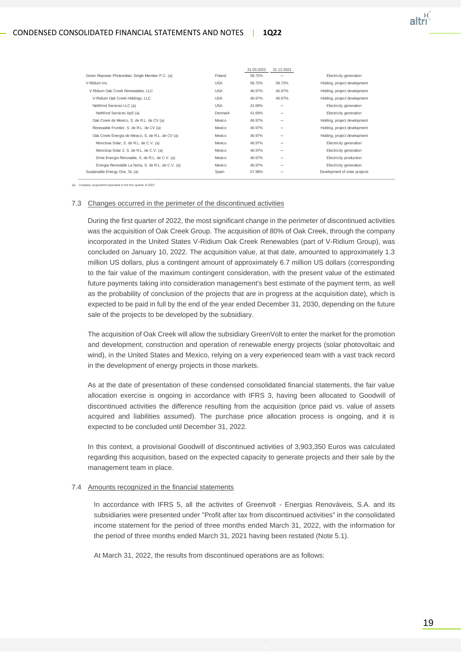

|                                                    |            | 31.03.2022 | 31.12.2021               |                               |
|----------------------------------------------------|------------|------------|--------------------------|-------------------------------|
| Green Repower Photovoltaic Single Member P.C. (a)  | Poland     | 58.72%     |                          | Electricity generation        |
| V-Ridium Inc.                                      | <b>USA</b> | 58.72%     | 58.72%                   | Holding, project development  |
| V-Ridium Oak Creek Renewables, LLC                 | <b>USA</b> | 46.97%     | 46.97%                   | Holding, project development  |
| V-Ridium Oak Creek Holdings, LLC                   | <b>USA</b> | 46.97%     | 46.97%                   | Holding, project development  |
| NetWind Services LLC (a)                           | <b>USA</b> | 41.69%     | -                        | Electricity generation        |
| NetWind Services ApS (a)                           | Denmark    | 41.69%     | $\overline{\phantom{a}}$ | Electricity generation        |
| Oak Creek de Mexico, S. de R.L. de CV (a)          | Mexico     | 46.97%     |                          | Holding, project development  |
| Renewable Frontier, S. de R.L. de CV (a)           | Mexico     | 46.97%     | $\overline{\phantom{a}}$ | Holding, project development  |
| Oak Creek Energia de Mexico, S. de R.L. de CV (a)  | Mexico     | 46.97%     |                          | Holding, project development  |
| Monclova Solar, S. de R.L. de C.V. (a)             | Mexico     | 46.97%     | -                        | Electricity generation        |
| Monclova Solar 2, S. de R.L. de C.V. (a)           | Mexico     | 46.97%     | -                        | Electricity generation        |
| Dime Energia Renovable, S. de R.L. de C.V. (a)     | Mexico     | 46.97%     | $\overline{\phantom{a}}$ | Electricity production        |
| Energia Renovable La Noria, S. de R.L. de C.V. (a) | Mexico     | 46.97%     |                          | Electricity generation        |
| Sustainable Energy One, SL (a)                     | Spain      | 57.98%     |                          | Development of solar projects |
|                                                    |            |            |                          |                               |

orated in the first quarter of 2022

#### 7.3 Changes occurred in the perimeter of the discontinued activities

During the first quarter of 2022, the most significant change in the perimeter of discontinued activities was the acquisition of Oak Creek Group. The acquisition of 80% of Oak Creek, through the company incorporated in the United States V-Ridium Oak Creek Renewables (part of V-Ridium Group), was concluded on January 10, 2022. The acquisition value, at that date, amounted to approximately 1.3 million US dollars, plus a contingent amount of approximately 6.7 million US dollars (corresponding to the fair value of the maximum contingent consideration, with the present value of the estimated future payments taking into consideration management's best estimate of the payment term, as well as the probability of conclusion of the projects that are in progress at the acquisition date), which is expected to be paid in full by the end of the year ended December 31, 2030, depending on the future sale of the projects to be developed by the subsidiary.

The acquisition of Oak Creek will allow the subsidiary GreenVolt to enter the market for the promotion and development, construction and operation of renewable energy projects (solar photovoltaic and wind), in the United States and Mexico, relying on a very experienced team with a vast track record in the development of energy projects in those markets.

As at the date of presentation of these condensed consolidated financial statements, the fair value allocation exercise is ongoing in accordance with IFRS 3, having been allocated to Goodwill of discontinued activities the difference resulting from the acquisition (price paid vs. value of assets acquired and liabilities assumed). The purchase price allocation process is ongoing, and it is expected to be concluded until December 31, 2022.

In this context, a provisional Goodwill of discontinued activities of 3,903,350 Euros was calculated regarding this acquisition, based on the expected capacity to generate projects and their sale by the management team in place.

#### 7.4 Amounts recognized in the financial statements

In accordance with IFRS 5, all the activites of Greenvolt - Energias Renováveis, S.A. and its subsidiaries were presented under "Profit after tax from discontinued activities" in the consolidated income statement for the period of three months ended March 31, 2022, with the information for the period of three months ended March 31, 2021 having been restated (Note 5.1).

At March 31, 2022, the results from discontinued operations are as follows: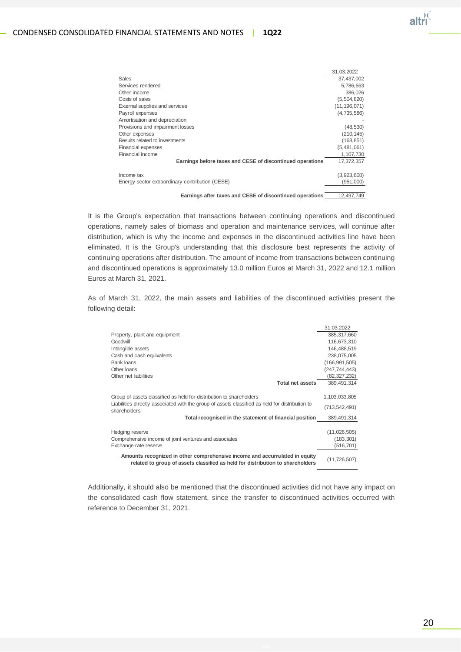

|                                                            | 31.03.2022     |
|------------------------------------------------------------|----------------|
| <b>Sales</b>                                               | 37,437,002     |
| Services rendered                                          | 5,786,663      |
| Other income                                               | 386,026        |
| Costs of sales                                             | (5,504,820)    |
| External supplies and services                             | (11, 196, 071) |
| Payroll expenses                                           | (4,735,586)    |
| Amortisation and depreciation                              |                |
| Provisions and impairment losses                           | (48, 530)      |
| Other expenses                                             | (210, 145)     |
| Results related to investments                             | (168, 851)     |
| <b>Financial expenses</b>                                  | (5,481,061)    |
| Financial income                                           | 1,107,730      |
| Earnings before taxes and CESE of discontinued operations  | 17,372,357     |
| Income tax                                                 | (3,923,608)    |
| Energy sector extraordinary contribution (CESE)            | (951,000)      |
| Equatoria displayment and AEAE of disposable conditions of | $40.407$ 740   |

**Earnings after taxes and CESE of discontinued operations** 12,497,749

It is the Group's expectation that transactions between continuing operations and discontinued operations, namely sales of biomass and operation and maintenance services, will continue after distribution, which is why the income and expenses in the discontinued activities line have been eliminated. It is the Group's understanding that this disclosure best represents the activity of continuing operations after distribution. The amount of income from transactions between continuing and discontinued operations is approximately 13.0 million Euros at March 31, 2022 and 12.1 million Euros at March 31, 2021.

As of March 31, 2022, the main assets and liabilities of the discontinued activities present the following detail:

|                                                                                                                                                              | 31.03.2022     |
|--------------------------------------------------------------------------------------------------------------------------------------------------------------|----------------|
| Property, plant and equipment                                                                                                                                | 385,317,660    |
| Goodwill                                                                                                                                                     | 116,673,310    |
| Intangible assets                                                                                                                                            | 146,488,519    |
| Cash and cash equivalents                                                                                                                                    | 238,075,005    |
| Bank loans                                                                                                                                                   | (166,991,505)  |
| Other Ioans                                                                                                                                                  | (247,744,443)  |
| Other net liabilities                                                                                                                                        | (82,327,232)   |
| <b>Total net assets</b>                                                                                                                                      | 389,491,314    |
|                                                                                                                                                              |                |
| Group of assets classified as held for distribution to shareholders                                                                                          | 1,103,033,805  |
| Liabilities directly associated with the group of assets classified as held for distribution to<br>shareholders                                              | (713,542,491)  |
| Total recognised in the statement of financial position                                                                                                      | 389,491,314    |
|                                                                                                                                                              |                |
| Hedging reserve                                                                                                                                              | (11,026,505)   |
| Comprehensive income of joint ventures and associates                                                                                                        | (183, 301)     |
| Exchange rate reserve                                                                                                                                        | (516,701)      |
| Amounts recognized in other comprehensive income and accumulated in equity<br>related to group of assets classified as held for distribution to shareholders | (11, 726, 507) |

Additionally, it should also be mentioned that the discontinued activities did not have any impact on the consolidated cash flow statement, since the transfer to discontinued activities occurred with reference to December 31, 2021.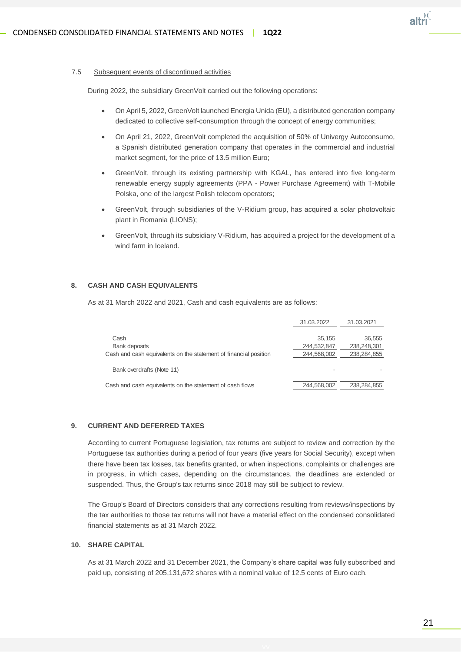

#### 7.5 Subsequent events of discontinued activities

During 2022, the subsidiary GreenVolt carried out the following operations:

- On April 5, 2022, GreenVolt launched Energia Unida (EU), a distributed generation company dedicated to collective self-consumption through the concept of energy communities;
- On April 21, 2022, GreenVolt completed the acquisition of 50% of Univergy Autoconsumo, a Spanish distributed generation company that operates in the commercial and industrial market segment, for the price of 13.5 million Euro;
- GreenVolt, through its existing partnership with KGAL, has entered into five long-term renewable energy supply agreements (PPA - Power Purchase Agreement) with T-Mobile Polska, one of the largest Polish telecom operators;
- GreenVolt, through subsidiaries of the V-Ridium group, has acquired a solar photovoltaic plant in Romania (LIONS);
- GreenVolt, through its subsidiary V-Ridium, has acquired a project for the development of a wind farm in Iceland.

#### **8. CASH AND CASH EQUIVALENTS**

As at 31 March 2022 and 2021, Cash and cash equivalents are as follows:

| 31.03.2022  | 31.03.2021  |
|-------------|-------------|
|             |             |
|             | 36,555      |
| 244,532,847 | 238,248,301 |
| 244,568,002 | 238,284,855 |
|             |             |
|             |             |
|             |             |
| 244,568,002 | 238,284,855 |
|             | 35.155      |

#### **9. CURRENT AND DEFERRED TAXES**

According to current Portuguese legislation, tax returns are subject to review and correction by the Portuguese tax authorities during a period of four years (five years for Social Security), except when there have been tax losses, tax benefits granted, or when inspections, complaints or challenges are in progress, in which cases, depending on the circumstances, the deadlines are extended or suspended. Thus, the Group's tax returns since 2018 may still be subject to review.

The Group's Board of Directors considers that any corrections resulting from reviews/inspections by the tax authorities to those tax returns will not have a material effect on the condensed consolidated financial statements as at 31 March 2022.

#### **10. SHARE CAPITAL**

As at 31 March 2022 and 31 December 2021, the Company's share capital was fully subscribed and paid up, consisting of 205,131,672 shares with a nominal value of 12.5 cents of Euro each.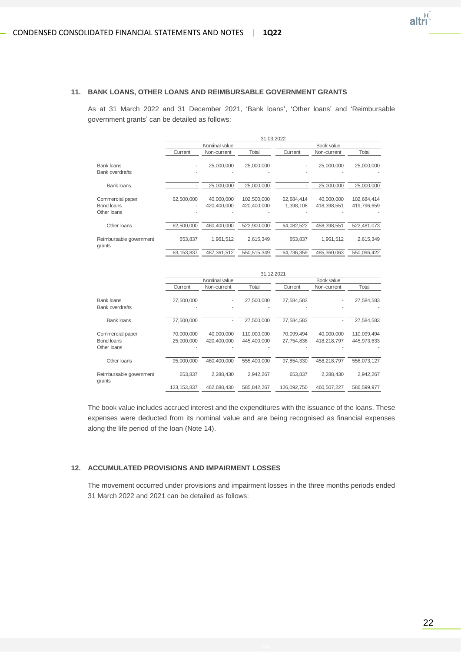

#### **11. BANK LOANS, OTHER LOANS AND REIMBURSABLE GOVERNMENT GRANTS**

As at 31 March 2022 and 31 December 2021, 'Bank loans', 'Other loans' and 'Reimbursable government grants' can be detailed as follows:

|                                   | 31.03.2022   |               |             |            |             |             |  |
|-----------------------------------|--------------|---------------|-------------|------------|-------------|-------------|--|
|                                   |              | Nominal value |             |            | Book value  |             |  |
|                                   | Current      | Non-current   | Total       | Current    | Non-current | Total       |  |
| Bank loans                        |              | 25,000,000    | 25.000.000  |            | 25,000,000  | 25,000,000  |  |
| <b>Bank overdrafts</b>            |              |               |             |            |             |             |  |
| Bank loans                        |              | 25.000.000    | 25.000.000  |            | 25,000,000  | 25.000.000  |  |
| Commercial paper                  | 62,500,000   | 40,000,000    | 102,500,000 | 62,684,414 | 40.000.000  | 102,684,414 |  |
| Bond loans                        | ٠            | 420.400.000   | 420.400.000 | 1,398,108  | 418,398,551 | 419,796,659 |  |
| Other loans                       |              |               |             |            |             |             |  |
| Other Ioans                       | 62,500,000   | 460.400.000   | 522.900.000 | 64,082,522 | 458.398.551 | 522,481,073 |  |
| Reimbursable government<br>grants | 653.837      | 1,961,512     | 2,615,349   | 653.837    | 1,961,512   | 2,615,349   |  |
|                                   | 63, 153, 837 | 487.361.512   | 550.515.349 | 64,736,359 | 485,360,063 | 550,096,422 |  |

|                                   | 31.12.2021    |               |               |             |             |             |  |
|-----------------------------------|---------------|---------------|---------------|-------------|-------------|-------------|--|
|                                   |               | Nominal value |               |             | Book value  |             |  |
|                                   | Current       | Non-current   | Total         | Current     | Non-current | Total       |  |
| <b>Bank loans</b>                 | 27,500,000    |               | 27,500,000    | 27,584,583  |             | 27,584,583  |  |
| <b>Bank overdrafts</b>            |               |               |               |             |             |             |  |
| <b>Bank loans</b>                 | 27.500.000    |               | 27.500.000    | 27.584.583  |             | 27,584,583  |  |
| Commercial paper                  | 70,000,000    | 40,000,000    | 110,000,000   | 70.099.494  | 40,000,000  | 110,099,494 |  |
| Bond loans                        | 25,000,000    | 420.400.000   | 445.400.000   | 27.754.836  | 418,218,797 | 445.973.633 |  |
| Other loans                       |               |               |               |             |             |             |  |
| Other Ioans                       | 95,000,000    | 460,400,000   | 555,400,000   | 97,854,330  | 458,218,797 | 556,073,127 |  |
| Reimbursable government<br>grants | 653.837       | 2.288.430     | 2,942,267     | 653.837     | 2,288,430   | 2,942,267   |  |
|                                   | 123, 153, 837 | 462,688,430   | 585, 842, 267 | 126,092,750 | 460,507,227 | 586,599,977 |  |

The book value includes accrued interest and the expenditures with the issuance of the loans. These expenses were deducted from its nominal value and are being recognised as financial expenses along the life period of the loan (Note 14).

#### **12. ACCUMULATED PROVISIONS AND IMPAIRMENT LOSSES**

The movement occurred under provisions and impairment losses in the three months periods ended 31 March 2022 and 2021 can be detailed as follows: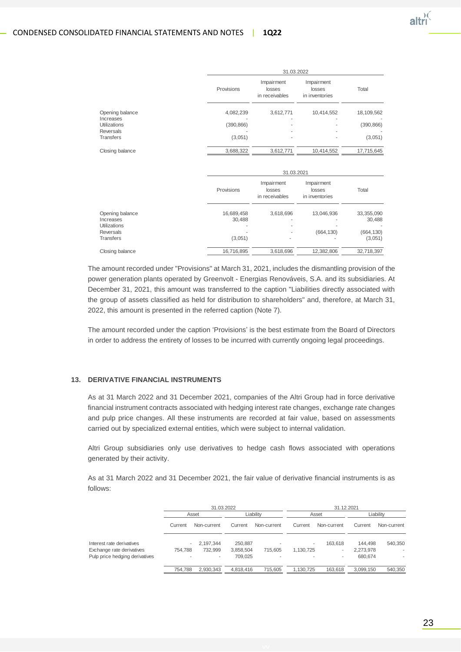|                                              |                      | 31.03.2022                             |                                        |                        |  |  |
|----------------------------------------------|----------------------|----------------------------------------|----------------------------------------|------------------------|--|--|
|                                              | Provisions           | Impairment<br>losses<br>in receivables | Impairment<br>losses<br>in inventories | Total                  |  |  |
| Opening balance                              | 4,082,239            | 3,612,771                              | 10,414,552                             | 18,109,562             |  |  |
| Increases<br><b>Utilizations</b>             | (390, 866)           |                                        |                                        | (390, 866)             |  |  |
| <b>Reversals</b><br><b>Transfers</b>         | (3,051)              | ٠                                      |                                        | (3,051)                |  |  |
| Closing balance                              | 3,688,322            | 3,612,771                              | 10,414,552                             | 17,715,645             |  |  |
|                                              |                      | 31.03.2021                             |                                        |                        |  |  |
|                                              | Provisions           | Impairment<br>losses<br>in receivables | Impairment<br>losses<br>in inventories | Total                  |  |  |
| Opening balance<br>Increases<br>Utilizations | 16,689,458<br>30,488 | 3,618,696                              | 13,046,936                             | 33, 355, 090<br>30,488 |  |  |

The amount recorded under "Provisions" at March 31, 2021, includes the dismantling provision of the power generation plants operated by Greenvolt - Energias Renováveis, S.A. and its subsidiaries. At December 31, 2021, this amount was transferred to the caption "Liabilities directly associated with the group of assets classified as held for distribution to shareholders" and, therefore, at March 31, 2022, this amount is presented in the referred caption (Note 7).

Reversals - - (664,130) (664,130) Transfers (3,051) - - (3,051) Closing balance 16,716,895 3,618,696 12,382,806 32,718,397

The amount recorded under the caption 'Provisions' is the best estimate from the Board of Directors in order to address the entirety of losses to be incurred with currently ongoing legal proceedings.

#### **13. DERIVATIVE FINANCIAL INSTRUMENTS**

As at 31 March 2022 and 31 December 2021, companies of the Altri Group had in force derivative financial instrument contracts associated with hedging interest rate changes, exchange rate changes and pulp price changes. All these instruments are recorded at fair value, based on assessments carried out by specialized external entities, which were subject to internal validation.

Altri Group subsidiaries only use derivatives to hedge cash flows associated with operations generated by their activity.

As at 31 March 2022 and 31 December 2021, the fair value of derivative financial instruments is as follows:

|                                                                                          | 31.03.2022        |                      |                                 |              | 31.12.2021     |                   |                                 |             |
|------------------------------------------------------------------------------------------|-------------------|----------------------|---------------------------------|--------------|----------------|-------------------|---------------------------------|-------------|
|                                                                                          |                   | Asset                | Liabilitv                       |              |                | Asset             | Liabilitv                       |             |
|                                                                                          | Current           | Non-current          | Current                         | Non-current  | Current        | Non-current       | Current                         | Non-current |
| Interest rate derivatives<br>Exchange rate derivatives<br>Pulp price hedging derivatives | ۰<br>754.788<br>۰ | 2,197,344<br>732.999 | 250,887<br>3,858,504<br>709.025 | 715.605<br>٠ | ۰<br>1,130,725 | 163.618<br>٠<br>۰ | 144.498<br>2,273,978<br>680,674 | 540,350     |
|                                                                                          | 754.788           | 2,930,343            | 4,818,416                       | 715,605      | 1,130,725      | 163,618           | 3,099,150                       | 540,350     |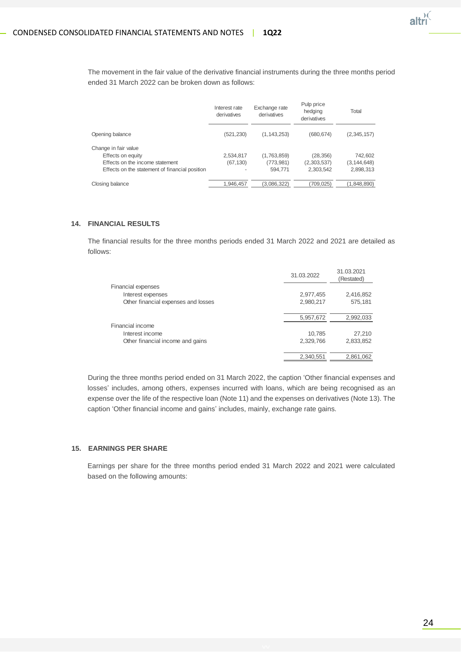

The movement in the fair value of the derivative financial instruments during the three months period ended 31 March 2022 can be broken down as follows:

|                                                                                                                                | Interest rate<br>derivatives | Exchange rate<br>derivatives         | Pulp price<br>hedging<br>derivatives  | Total                                 |
|--------------------------------------------------------------------------------------------------------------------------------|------------------------------|--------------------------------------|---------------------------------------|---------------------------------------|
| Opening balance                                                                                                                | (521, 230)                   | (1, 143, 253)                        | (680, 674)                            | (2,345,157)                           |
| Change in fair value<br>Effects on equity<br>Effects on the income statement<br>Effects on the statement of financial position | 2,534,817<br>(67, 130)       | (1,763,859)<br>(773, 981)<br>594.771 | (28, 356)<br>(2,303,537)<br>2,303,542 | 742,602<br>(3, 144, 648)<br>2,898,313 |
| Closing balance                                                                                                                | 1,946,457                    | (3,086,322)                          | (709, 025)                            | (1,848,890)                           |

#### **14. FINANCIAL RESULTS**

The financial results for the three months periods ended 31 March 2022 and 2021 are detailed as follows:

|                                     | 31.03.2022 | 31.03.2021<br>(Restated) |
|-------------------------------------|------------|--------------------------|
| <b>Financial expenses</b>           |            |                          |
| Interest expenses                   | 2,977,455  | 2,416,852                |
| Other financial expenses and losses | 2,980,217  | 575,181                  |
|                                     |            |                          |
|                                     | 5,957,672  | 2,992,033                |
| Financial income                    |            |                          |
| Interest income                     | 10,785     | 27,210                   |
| Other financial income and gains    | 2,329,766  | 2,833,852                |
|                                     | 2,340,551  | 2,861,062                |
|                                     |            |                          |

During the three months period ended on 31 March 2022, the caption 'Other financial expenses and losses' includes, among others, expenses incurred with loans, which are being recognised as an expense over the life of the respective loan (Note 11) and the expenses on derivatives (Note 13). The caption 'Other financial income and gains' includes, mainly, exchange rate gains.

#### **15. EARNINGS PER SHARE**

Earnings per share for the three months period ended 31 March 2022 and 2021 were calculated based on the following amounts: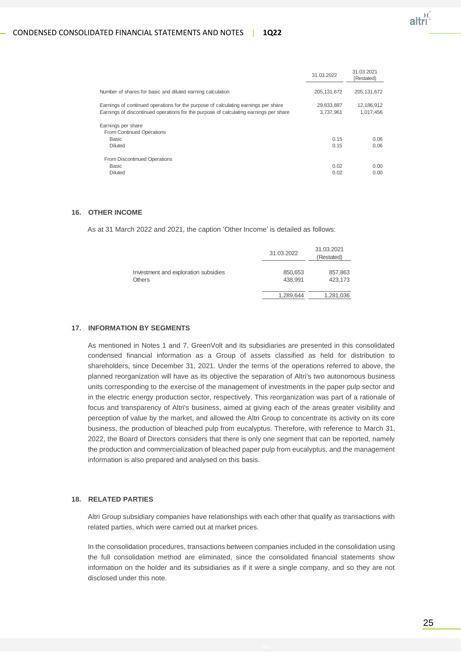

|                                                                                                                                                                             | 31.03.2022              | 31.03.2021<br>(Restated) |
|-----------------------------------------------------------------------------------------------------------------------------------------------------------------------------|-------------------------|--------------------------|
| Number of shares for basic and diluted earning calculation                                                                                                                  | 205, 131, 672           | 205, 131, 672            |
| Earnings of continued operations for the purpose of calculating earnings per share<br>Earnings of discontinued operations for the purpose of calculating earnings per share | 29,833,887<br>3.737.961 | 12,186,912<br>1,017,456  |
| Earnings per share<br>From Continued Operations<br>Basic<br><b>Diluted</b>                                                                                                  | 0.15<br>0.15            | 0.06<br>0.06             |
| From Discontinued Operations<br>Basic<br><b>Diluted</b>                                                                                                                     | 0.02<br>0.02            | 0.00<br>0.00             |

#### **16. OTHER INCOME**

As at 31 March 2022 and 2021, the caption 'Other Income' is detailed as follows:

|                                                       | 31.03.2022         | 31.03.2021<br>(Restated) |
|-------------------------------------------------------|--------------------|--------------------------|
| Investment and exploration subsidies<br><b>Others</b> | 850,653<br>438.991 | 857,863<br>423.173       |
|                                                       | 1,289,644          | 1,281,036                |

#### **17. INFORMATION BY SEGMENTS**

As mentioned in Notes 1 and 7, GreenVolt and its subsidiaries are presented in this consolidated condensed financial information as a Group of assets classified as held for distribution to shareholders, since December 31, 2021. Under the terms of the operations referred to above, the planned reorganization will have as its objective the separation of Altri's two autonomous business units corresponding to the exercise of the management of investments in the paper pulp sector and in the electric energy production sector, respectively. This reorganization was part of a rationale of focus and transparency of Altri's business, aimed at giving each of the areas greater visibility and perception of value by the market, and allowed the Altri Group to concentrate its activity on its core business, the production of bleached pulp from eucalyptus. Therefore, with reference to March 31, 2022, the Board of Directors considers that there is only one segment that can be reported, namely the production and commercialization of bleached paper pulp from eucalyptus, and the management information is also prepared and analysed on this basis.

#### **18. RELATED PARTIES**

Altri Group subsidiary companies have relationships with each other that qualify as transactions with related parties, which were carried out at market prices.

In the consolidation procedures, transactions between companies included in the consolidation using the full consolidation method are eliminated, since the consolidated financial statements show information on the holder and its subsidiaries as if it were a single company, and so they are not disclosed under this note.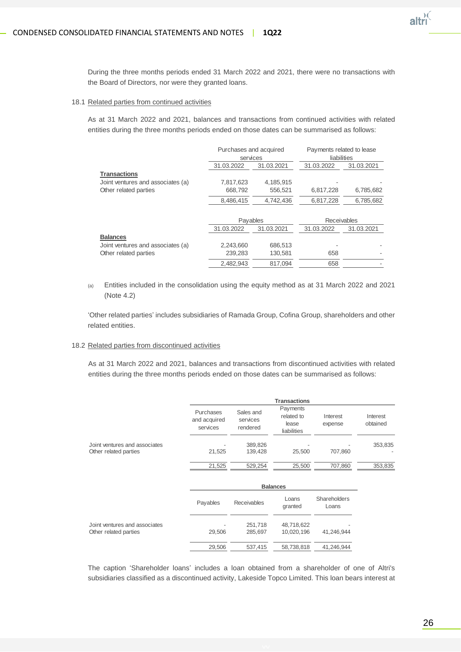

During the three months periods ended 31 March 2022 and 2021, there were no transactions with the Board of Directors, nor were they granted loans.

#### 18.1 Related parties from continued activities

As at 31 March 2022 and 2021, balances and transactions from continued activities with related entities during the three months periods ended on those dates can be summarised as follows:

|                                   | Purchases and acquired |            | Payments related to lease |            |
|-----------------------------------|------------------------|------------|---------------------------|------------|
|                                   | services               |            | liabilities               |            |
|                                   | 31.03.2022             | 31.03.2021 | 31.03.2022                | 31.03.2021 |
| <b>Transactions</b>               |                        |            |                           |            |
| Joint ventures and associates (a) | 7,817,623              | 4,185,915  |                           |            |
| Other related parties             | 668,792                | 556,521    | 6,817,228                 | 6,785,682  |
|                                   | 8,486,415              | 4,742,436  | 6,817,228                 | 6,785,682  |
|                                   |                        |            |                           |            |
|                                   | Payables               |            | Receivables               |            |
|                                   | 31.03.2022             | 31.03.2021 | 31.03.2022                | 31.03.2021 |
| <b>Balances</b>                   |                        |            |                           |            |
| Joint ventures and associates (a) | 2,243,660              | 686,513    |                           |            |
| Other related parties             | 239,283                | 130.581    | 658                       |            |
|                                   | 2.482.943              | 817.094    | 658                       |            |

(a) Entities included in the consolidation using the equity method as at 31 March 2022 and 2021 (Note 4.2)

'Other related parties' includes subsidiaries of Ramada Group, Cofina Group, shareholders and other related entities.

#### 18.2 Related parties from discontinued activities

As at 31 March 2022 and 2021, balances and transactions from discontinued activities with related entities during the three months periods ended on those dates can be summarised as follows:

|                                                        | <b>Transactions</b>                   |                                   |                                                |                     |                      |
|--------------------------------------------------------|---------------------------------------|-----------------------------------|------------------------------------------------|---------------------|----------------------|
|                                                        | Purchases<br>and acquired<br>services | Sales and<br>services<br>rendered | Payments<br>related to<br>lease<br>liabilities | Interest<br>expense | Interest<br>obtained |
| Joint ventures and associates<br>Other related parties | ۰<br>21,525                           | 389,826<br>139.428                | 25.500                                         | ۰<br>707.860        | 353,835              |
|                                                        | 21,525                                | 529,254                           | 25,500                                         | 707,860             | 353,835              |
|                                                        |                                       |                                   | <b>Balances</b>                                |                     |                      |

|                                                        | Payables    | <b>Receivables</b> | Loans<br>granted         | Shareholders<br>Loans |
|--------------------------------------------------------|-------------|--------------------|--------------------------|-----------------------|
| Joint ventures and associates<br>Other related parties | ٠<br>29.506 | 251,718<br>285.697 | 48,718,622<br>10,020,196 | 41.246.944            |
|                                                        | 29,506      | 537.415            | 58,738,818               | 41,246,944            |

The caption 'Shareholder loans' includes a loan obtained from a shareholder of one of Altri's subsidiaries classified as a discontinued activity, Lakeside Topco Limited. This loan bears interest at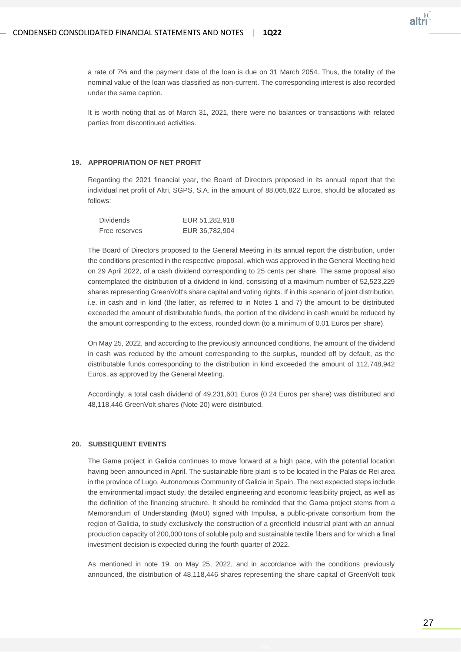

a rate of 7% and the payment date of the loan is due on 31 March 2054. Thus, the totality of the nominal value of the loan was classified as non-current. The corresponding interest is also recorded under the same caption.

It is worth noting that as of March 31, 2021, there were no balances or transactions with related parties from discontinued activities.

#### **19. APPROPRIATION OF NET PROFIT**

Regarding the 2021 financial year, the Board of Directors proposed in its annual report that the individual net profit of Altri, SGPS, S.A. in the amount of 88,065,822 Euros, should be allocated as follows:

| <b>Dividends</b> | EUR 51,282,918 |
|------------------|----------------|
| Free reserves    | EUR 36,782,904 |

The Board of Directors proposed to the General Meeting in its annual report the distribution, under the conditions presented in the respective proposal, which was approved in the General Meeting held on 29 April 2022, of a cash dividend corresponding to 25 cents per share. The same proposal also contemplated the distribution of a dividend in kind, consisting of a maximum number of 52,523,229 shares representing GreenVolt's share capital and voting rights. If in this scenario of joint distribution, i.e. in cash and in kind (the latter, as referred to in Notes 1 and 7) the amount to be distributed exceeded the amount of distributable funds, the portion of the dividend in cash would be reduced by the amount corresponding to the excess, rounded down (to a minimum of 0.01 Euros per share).

On May 25, 2022, and according to the previously announced conditions, the amount of the dividend in cash was reduced by the amount corresponding to the surplus, rounded off by default, as the distributable funds corresponding to the distribution in kind exceeded the amount of 112,748,942 Euros, as approved by the General Meeting.

Accordingly, a total cash dividend of 49,231,601 Euros (0.24 Euros per share) was distributed and 48,118,446 GreenVolt shares (Note 20) were distributed.

#### **20. SUBSEQUENT EVENTS**

The Gama project in Galicia continues to move forward at a high pace, with the potential location having been announced in April. The sustainable fibre plant is to be located in the Palas de Rei area in the province of Lugo, Autonomous Community of Galicia in Spain. The next expected steps include the environmental impact study, the detailed engineering and economic feasibility project, as well as the definition of the financing structure. It should be reminded that the Gama project stems from a Memorandum of Understanding (MoU) signed with Impulsa, a public-private consortium from the region of Galicia, to study exclusively the construction of a greenfield industrial plant with an annual production capacity of 200,000 tons of soluble pulp and sustainable textile fibers and for which a final investment decision is expected during the fourth quarter of 2022.

As mentioned in note 19, on May 25, 2022, and in accordance with the conditions previously announced, the distribution of 48,118,446 shares representing the share capital of GreenVolt took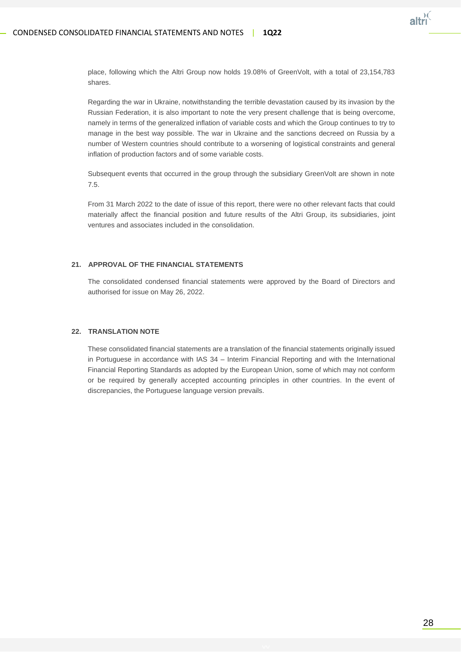

place, following which the Altri Group now holds 19.08% of GreenVolt, with a total of 23,154,783 shares.

Regarding the war in Ukraine, notwithstanding the terrible devastation caused by its invasion by the Russian Federation, it is also important to note the very present challenge that is being overcome, namely in terms of the generalized inflation of variable costs and which the Group continues to try to manage in the best way possible. The war in Ukraine and the sanctions decreed on Russia by a number of Western countries should contribute to a worsening of logistical constraints and general inflation of production factors and of some variable costs.

Subsequent events that occurred in the group through the subsidiary GreenVolt are shown in note 7.5.

From 31 March 2022 to the date of issue of this report, there were no other relevant facts that could materially affect the financial position and future results of the Altri Group, its subsidiaries, joint ventures and associates included in the consolidation.

#### **21. APPROVAL OF THE FINANCIAL STATEMENTS**

The consolidated condensed financial statements were approved by the Board of Directors and authorised for issue on May 26, 2022.

#### **22. TRANSLATION NOTE**

These consolidated financial statements are a translation of the financial statements originally issued in Portuguese in accordance with IAS 34 – Interim Financial Reporting and with the International Financial Reporting Standards as adopted by the European Union, some of which may not conform or be required by generally accepted accounting principles in other countries. In the event of discrepancies, the Portuguese language version prevails.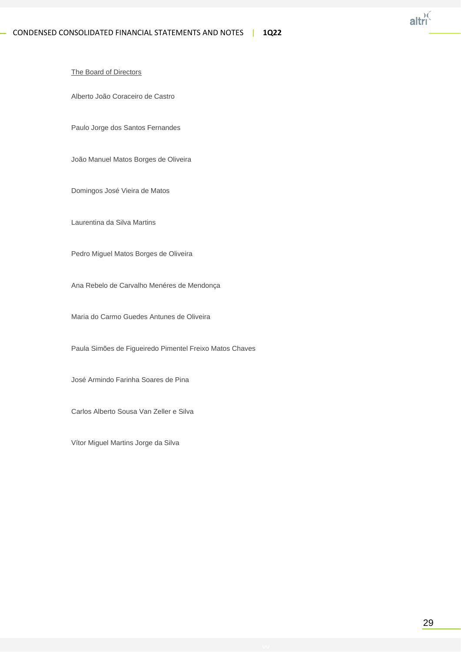

#### The Board of Directors

Alberto João Coraceiro de Castro

Paulo Jorge dos Santos Fernandes

João Manuel Matos Borges de Oliveira

Domingos José Vieira de Matos

Laurentina da Silva Martins

Pedro Miguel Matos Borges de Oliveira

Ana Rebelo de Carvalho Menéres de Mendonça

Maria do Carmo Guedes Antunes de Oliveira

Paula Simões de Figueiredo Pimentel Freixo Matos Chaves

José Armindo Farinha Soares de Pina

Carlos Alberto Sousa Van Zeller e Silva

Vítor Miguel Martins Jorge da Silva